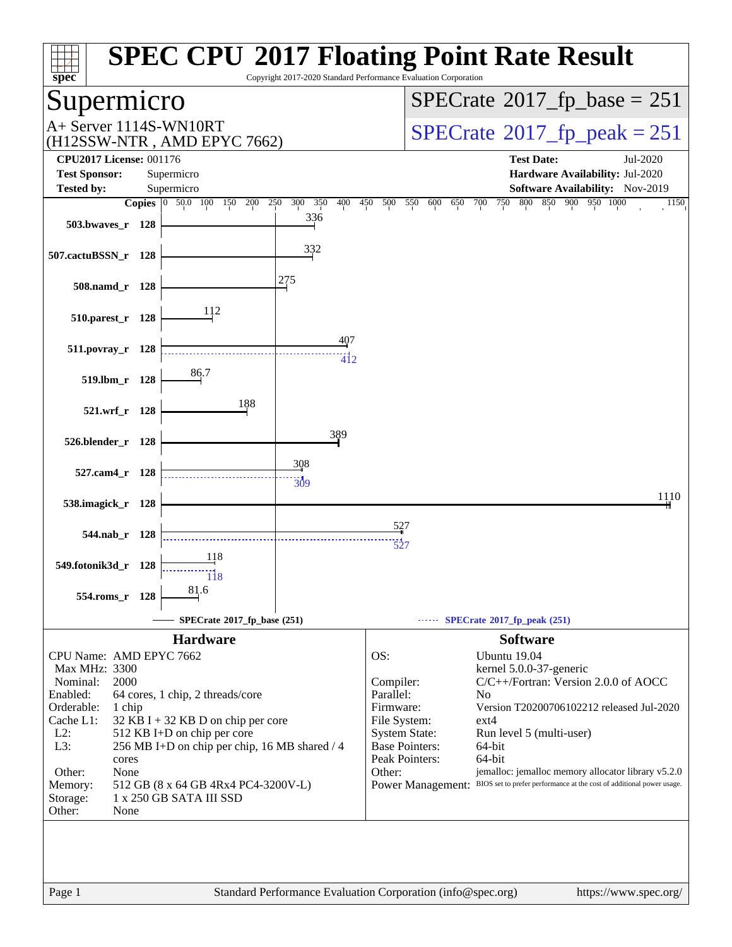| <b>SPEC CPU®2017 Floating Point Rate Result</b><br>$spec^*$<br>Copyright 2017-2020 Standard Performance Evaluation Corporation |                                                                                                   |  |  |  |  |  |
|--------------------------------------------------------------------------------------------------------------------------------|---------------------------------------------------------------------------------------------------|--|--|--|--|--|
| upermicro                                                                                                                      | $SPECrate^{\circ}2017$ fp base = 251                                                              |  |  |  |  |  |
| A+ Server 1114S-WN10RT<br>(H12SSW-NTR, AMD EPYC 7662)                                                                          | $SPECTate$ <sup>®</sup> 2017 fp peak = 251                                                        |  |  |  |  |  |
| <b>CPU2017 License: 001176</b><br><b>Test Sponsor:</b><br>Supermicro                                                           | <b>Test Date:</b><br>Jul-2020<br>Hardware Availability: Jul-2020                                  |  |  |  |  |  |
| <b>Tested by:</b><br>Supermicro                                                                                                | <b>Software Availability:</b> Nov-2019                                                            |  |  |  |  |  |
| <b>Copies</b> $\begin{bmatrix} 0 & 50.0 & 100 \end{bmatrix}$<br>150<br>200<br>250<br>300<br>350<br>400                         | 800<br>850<br>900 950 1000<br>450<br>500<br>550<br>750<br>600<br>650<br>700<br>1150               |  |  |  |  |  |
| 336<br>503.bwaves_r 128                                                                                                        |                                                                                                   |  |  |  |  |  |
| 332<br>507.cactuBSSN_r 128                                                                                                     |                                                                                                   |  |  |  |  |  |
| 275<br>508.namd_r 128                                                                                                          |                                                                                                   |  |  |  |  |  |
| 112<br>510.parest_r 128                                                                                                        |                                                                                                   |  |  |  |  |  |
| 407<br>511.povray_r 128<br>$\overline{4}$ <sub>12</sub><br>86.7                                                                |                                                                                                   |  |  |  |  |  |
| 519.lbm_r 128<br>188                                                                                                           |                                                                                                   |  |  |  |  |  |
| 521.wrf_r 128<br>389                                                                                                           |                                                                                                   |  |  |  |  |  |
| 526.blender_r 128                                                                                                              |                                                                                                   |  |  |  |  |  |
| 308<br>527.cam4_r 128<br>$\frac{11}{309}$                                                                                      |                                                                                                   |  |  |  |  |  |
| 538.imagick_r 128                                                                                                              | 1110                                                                                              |  |  |  |  |  |
|                                                                                                                                |                                                                                                   |  |  |  |  |  |
| 544.nab r 128                                                                                                                  |                                                                                                   |  |  |  |  |  |
| 118<br>549.fotonik3d_r 128<br>118                                                                                              |                                                                                                   |  |  |  |  |  |
| 81.6<br>554.roms_r 128                                                                                                         |                                                                                                   |  |  |  |  |  |
| SPECrate®2017_fp_base (251)                                                                                                    | SPECrate®2017_fp_peak (251)                                                                       |  |  |  |  |  |
| <b>Hardware</b>                                                                                                                | <b>Software</b>                                                                                   |  |  |  |  |  |
| CPU Name: AMD EPYC 7662                                                                                                        | OS:<br>Ubuntu 19.04                                                                               |  |  |  |  |  |
| Max MHz: 3300<br>Nominal:<br>2000                                                                                              | kernel 5.0.0-37-generic<br>C/C++/Fortran: Version 2.0.0 of AOCC<br>Compiler:                      |  |  |  |  |  |
| Enabled:<br>64 cores, 1 chip, 2 threads/core                                                                                   | Parallel:<br>N <sub>0</sub>                                                                       |  |  |  |  |  |
| Orderable:<br>1 chip                                                                                                           | Firmware:<br>Version T20200706102212 released Jul-2020                                            |  |  |  |  |  |
| Cache L1:<br>$32$ KB I + 32 KB D on chip per core                                                                              | File System:<br>ext4                                                                              |  |  |  |  |  |
| $L2$ :<br>512 KB I+D on chip per core                                                                                          | <b>System State:</b><br>Run level 5 (multi-user)                                                  |  |  |  |  |  |
| L3:<br>256 MB I+D on chip per chip, 16 MB shared / 4<br>cores                                                                  | <b>Base Pointers:</b><br>64-bit<br>Peak Pointers:<br>64-bit                                       |  |  |  |  |  |
| Other:<br>None                                                                                                                 | jemalloc: jemalloc memory allocator library v5.2.0<br>Other:                                      |  |  |  |  |  |
| 512 GB (8 x 64 GB 4Rx4 PC4-3200V-L)<br>Memory:<br>1 x 250 GB SATA III SSD<br>Storage:<br>Other:<br>None                        | <b>Power Management:</b><br>BIOS set to prefer performance at the cost of additional power usage. |  |  |  |  |  |
|                                                                                                                                |                                                                                                   |  |  |  |  |  |
| Standard Performance Evaluation Corporation (info@spec.org)<br>Page 1<br>https://www.spec.org/                                 |                                                                                                   |  |  |  |  |  |
|                                                                                                                                |                                                                                                   |  |  |  |  |  |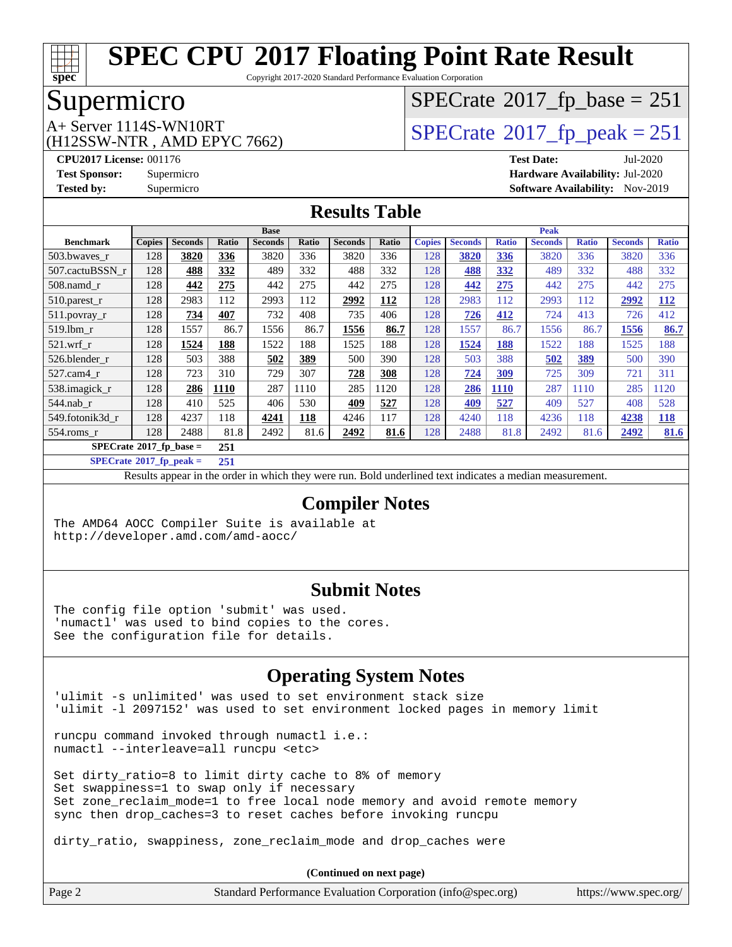

Copyright 2017-2020 Standard Performance Evaluation Corporation

# Supermicro

(H12SSW-NTR , AMD EPYC 7662)

# $SPECTate@2017_fp\_base = 251$

 $A+$  Server 1114S-WN10RT<br>  $\langle H12SSW-NTR$  AMD EPYC 7662) [SPECrate](http://www.spec.org/auto/cpu2017/Docs/result-fields.html#SPECrate2017fppeak)®[2017\\_fp\\_peak = 2](http://www.spec.org/auto/cpu2017/Docs/result-fields.html#SPECrate2017fppeak)51

**[CPU2017 License:](http://www.spec.org/auto/cpu2017/Docs/result-fields.html#CPU2017License)** 001176 **[Test Date:](http://www.spec.org/auto/cpu2017/Docs/result-fields.html#TestDate)** Jul-2020 **[Test Sponsor:](http://www.spec.org/auto/cpu2017/Docs/result-fields.html#TestSponsor)** Supermicro **[Hardware Availability:](http://www.spec.org/auto/cpu2017/Docs/result-fields.html#HardwareAvailability)** Jul-2020 **[Tested by:](http://www.spec.org/auto/cpu2017/Docs/result-fields.html#Testedby)** Supermicro **[Software Availability:](http://www.spec.org/auto/cpu2017/Docs/result-fields.html#SoftwareAvailability)** Nov-2019

### **[Results Table](http://www.spec.org/auto/cpu2017/Docs/result-fields.html#ResultsTable)**

|                                         | <b>Base</b>   |                |             |                | Peak       |                |       |               |                |              |                |              |                |              |
|-----------------------------------------|---------------|----------------|-------------|----------------|------------|----------------|-------|---------------|----------------|--------------|----------------|--------------|----------------|--------------|
| <b>Benchmark</b>                        | <b>Copies</b> | <b>Seconds</b> | Ratio       | <b>Seconds</b> | Ratio      | <b>Seconds</b> | Ratio | <b>Copies</b> | <b>Seconds</b> | <b>Ratio</b> | <b>Seconds</b> | <b>Ratio</b> | <b>Seconds</b> | <b>Ratio</b> |
| 503.bwayes_r                            | 128           | 3820           | 336         | 3820           | 336        | 3820           | 336   | 128           | 3820           | 336          | 3820           | 336          | 3820           | 336          |
| 507.cactuBSSN r                         | 128           | 488            | 332         | 489            | 332        | 488            | 332   | 128           | 488            | 332          | 489            | 332          | 488            | 332          |
| $508$ .namd $r$                         | 128           | 442            | 275         | 442            | 275        | 442            | 275   | 128           | 442            | 275          | 442            | 275          | 442            | 275          |
| 510.parest_r                            | 128           | 2983           | 112         | 2993           | 112        | 2992           | 112   | 128           | 2983           | 112          | 2993           | 112          | 2992           | <u>112</u>   |
| $511.$ povray_r                         | 128           | 734            | 407         | 732            | 408        | 735            | 406   | 128           | 726            | 412          | 724            | 413          | 726            | 412          |
| 519.lbm r                               | 128           | 1557           | 86.7        | 1556           | 86.7       | 1556           | 86.7  | 128           | 1557           | 86.7         | 1556           | 86.7         | 1556           | 86.7         |
| $521$ .wrf r                            | 128           | 1524           | <b>188</b>  | 1522           | 188        | 1525           | 188   | 128           | 1524           | <b>188</b>   | 1522           | 188          | 1525           | 188          |
| 526.blender r                           | 128           | 503            | 388         | 502            | <u>389</u> | 500            | 390   | 128           | 503            | 388          | 502            | 389          | 500            | 390          |
| $527.cam4_r$                            | 128           | 723            | 310         | 729            | 307        | 728            | 308   | 128           | 724            | 309          | 725            | 309          | 721            | 311          |
| 538.imagick_r                           | 128           | 286            | <b>1110</b> | 287            | 1110       | 285            | 1120  | 128           | 286            | <b>1110</b>  | 287            | 1110         | 285            | 1120         |
| $544$ .nab r                            | 128           | 410            | 525         | 406            | 530        | <u>409</u>     | 527   | 128           | <u>409</u>     | 527          | 409            | 527          | 408            | 528          |
| 549.fotonik3d_r                         | 128           | 4237           | 118         | 4241           | 118        | 4246           | 117   | 128           | 4240           | 118          | 4236           | 118          | 4238           | <u> 118</u>  |
| $554$ .roms_r                           | 128           | 2488           | 81.8        | 2492           | 81.6       | 2492           | 81.6  | 128           | 2488           | 81.8         | 2492           | 81.6         | 2492           | 81.6         |
| $SPECrate^{\circ}2017$ fp base =<br>251 |               |                |             |                |            |                |       |               |                |              |                |              |                |              |
| $SPECrate^{\otimes}2017$ fp peak =      |               |                | 251         |                |            |                |       |               |                |              |                |              |                |              |

Results appear in the [order in which they were run](http://www.spec.org/auto/cpu2017/Docs/result-fields.html#RunOrder). Bold underlined text [indicates a median measurement.](http://www.spec.org/auto/cpu2017/Docs/result-fields.html#Median)

### **[Compiler Notes](http://www.spec.org/auto/cpu2017/Docs/result-fields.html#CompilerNotes)**

The AMD64 AOCC Compiler Suite is available at <http://developer.amd.com/amd-aocc/>

#### **[Submit Notes](http://www.spec.org/auto/cpu2017/Docs/result-fields.html#SubmitNotes)**

The config file option 'submit' was used. 'numactl' was used to bind copies to the cores. See the configuration file for details.

### **[Operating System Notes](http://www.spec.org/auto/cpu2017/Docs/result-fields.html#OperatingSystemNotes)**

'ulimit -s unlimited' was used to set environment stack size 'ulimit -l 2097152' was used to set environment locked pages in memory limit

runcpu command invoked through numactl i.e.: numactl --interleave=all runcpu <etc>

Set dirty\_ratio=8 to limit dirty cache to 8% of memory Set swappiness=1 to swap only if necessary Set zone\_reclaim\_mode=1 to free local node memory and avoid remote memory sync then drop\_caches=3 to reset caches before invoking runcpu

dirty\_ratio, swappiness, zone\_reclaim\_mode and drop\_caches were

| Page 2 | Standard Performance Evaluation Corporation (info@spec.org) | https://www.spec.org/ |
|--------|-------------------------------------------------------------|-----------------------|
|--------|-------------------------------------------------------------|-----------------------|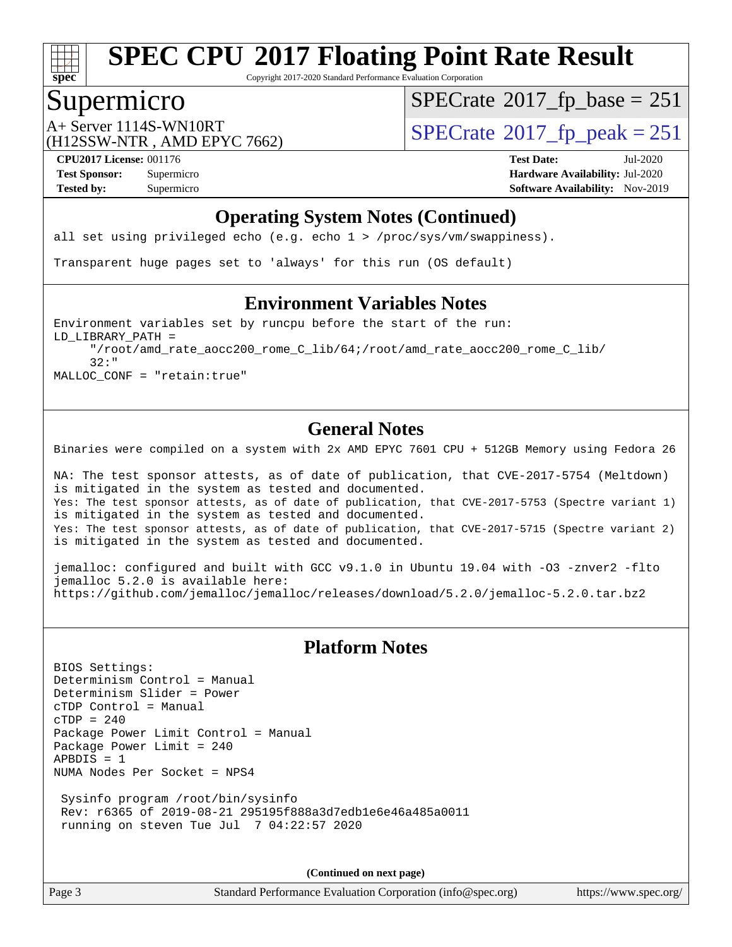

Copyright 2017-2020 Standard Performance Evaluation Corporation

### Supermicro

 $SPECTate@2017_fp\_base = 251$ 

(H12SSW-NTR , AMD EPYC 7662)

A+ Server 1114S-WN10RT<br>  $\langle \text{H12SSW-NTR} \rangle$  AMD FPYC 7662)  $\langle \text{SPECrate} \rangle$  $\langle \text{SPECrate} \rangle$  $\langle \text{SPECrate} \rangle$  SPEC rate 2017 fp\_peak = 251

**[CPU2017 License:](http://www.spec.org/auto/cpu2017/Docs/result-fields.html#CPU2017License)** 001176 **[Test Date:](http://www.spec.org/auto/cpu2017/Docs/result-fields.html#TestDate)** Jul-2020 **[Test Sponsor:](http://www.spec.org/auto/cpu2017/Docs/result-fields.html#TestSponsor)** Supermicro **[Hardware Availability:](http://www.spec.org/auto/cpu2017/Docs/result-fields.html#HardwareAvailability)** Jul-2020 **[Tested by:](http://www.spec.org/auto/cpu2017/Docs/result-fields.html#Testedby)** Supermicro **[Software Availability:](http://www.spec.org/auto/cpu2017/Docs/result-fields.html#SoftwareAvailability)** Nov-2019

### **[Operating System Notes \(Continued\)](http://www.spec.org/auto/cpu2017/Docs/result-fields.html#OperatingSystemNotes)**

all set using privileged echo (e.g. echo 1 > /proc/sys/vm/swappiness).

Transparent huge pages set to 'always' for this run (OS default)

### **[Environment Variables Notes](http://www.spec.org/auto/cpu2017/Docs/result-fields.html#EnvironmentVariablesNotes)**

Environment variables set by runcpu before the start of the run: LD\_LIBRARY\_PATH = "/root/amd\_rate\_aocc200\_rome\_C\_lib/64;/root/amd\_rate\_aocc200\_rome\_C\_lib/ 32:" MALLOC\_CONF = "retain:true"

#### **[General Notes](http://www.spec.org/auto/cpu2017/Docs/result-fields.html#GeneralNotes)**

Binaries were compiled on a system with 2x AMD EPYC 7601 CPU + 512GB Memory using Fedora 26

NA: The test sponsor attests, as of date of publication, that CVE-2017-5754 (Meltdown) is mitigated in the system as tested and documented. Yes: The test sponsor attests, as of date of publication, that CVE-2017-5753 (Spectre variant 1) is mitigated in the system as tested and documented. Yes: The test sponsor attests, as of date of publication, that CVE-2017-5715 (Spectre variant 2) is mitigated in the system as tested and documented.

jemalloc: configured and built with GCC v9.1.0 in Ubuntu 19.04 with -O3 -znver2 -flto jemalloc 5.2.0 is available here: <https://github.com/jemalloc/jemalloc/releases/download/5.2.0/jemalloc-5.2.0.tar.bz2>

### **[Platform Notes](http://www.spec.org/auto/cpu2017/Docs/result-fields.html#PlatformNotes)**

BIOS Settings: Determinism Control = Manual Determinism Slider = Power cTDP Control = Manual  $CTDP = 240$ Package Power Limit Control = Manual Package Power Limit = 240 APBDIS = 1 NUMA Nodes Per Socket = NPS4

 Sysinfo program /root/bin/sysinfo Rev: r6365 of 2019-08-21 295195f888a3d7edb1e6e46a485a0011 running on steven Tue Jul 7 04:22:57 2020

**(Continued on next page)**

Page 3 Standard Performance Evaluation Corporation [\(info@spec.org\)](mailto:info@spec.org) <https://www.spec.org/>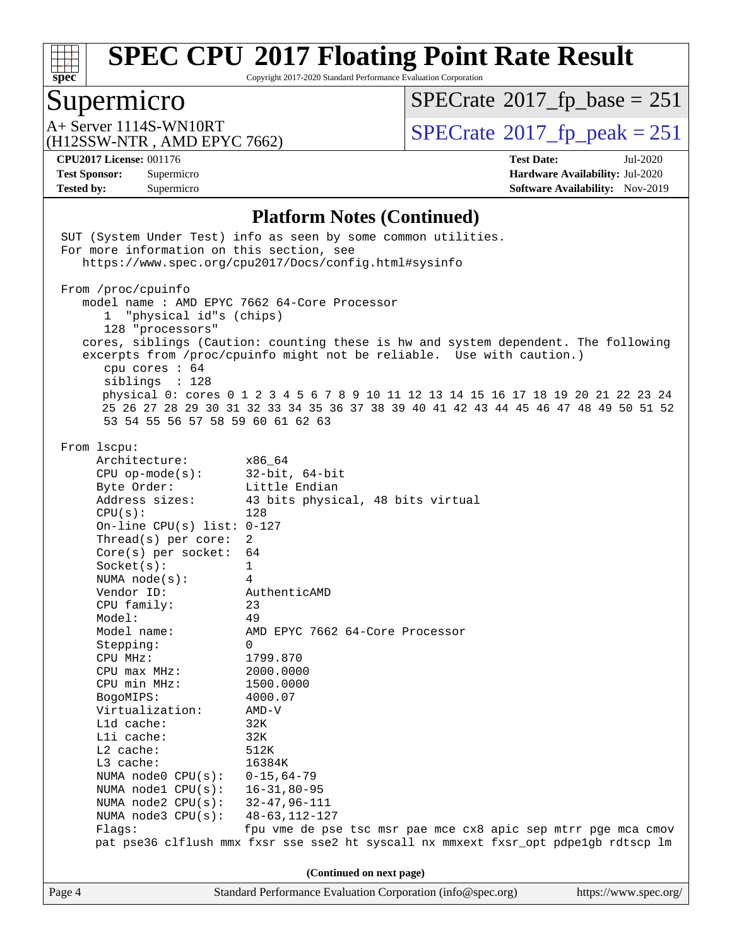

Copyright 2017-2020 Standard Performance Evaluation Corporation

# Supermicro<br>A+ Server 1114S-WN10RT

 $SPECTate@2017_fp\_base = 251$ 

(H12SSW-NTR , AMD EPYC 7662)

 $SPECTate$ <sup>®</sup>[2017\\_fp\\_peak = 2](http://www.spec.org/auto/cpu2017/Docs/result-fields.html#SPECrate2017fppeak)51

**[Tested by:](http://www.spec.org/auto/cpu2017/Docs/result-fields.html#Testedby)** Supermicro **[Software Availability:](http://www.spec.org/auto/cpu2017/Docs/result-fields.html#SoftwareAvailability)** Nov-2019

**[CPU2017 License:](http://www.spec.org/auto/cpu2017/Docs/result-fields.html#CPU2017License)** 001176 **[Test Date:](http://www.spec.org/auto/cpu2017/Docs/result-fields.html#TestDate)** Jul-2020 **[Test Sponsor:](http://www.spec.org/auto/cpu2017/Docs/result-fields.html#TestSponsor)** Supermicro **[Hardware Availability:](http://www.spec.org/auto/cpu2017/Docs/result-fields.html#HardwareAvailability)** Jul-2020

#### **[Platform Notes \(Continued\)](http://www.spec.org/auto/cpu2017/Docs/result-fields.html#PlatformNotes)**

|                          | SUT (System Under Test) info as seen by some common utilities.<br>For more information on this section, see                                |                                                                                                                                                                                                                                                                                                                                                                                         |  |  |  |  |  |
|--------------------------|--------------------------------------------------------------------------------------------------------------------------------------------|-----------------------------------------------------------------------------------------------------------------------------------------------------------------------------------------------------------------------------------------------------------------------------------------------------------------------------------------------------------------------------------------|--|--|--|--|--|
|                          |                                                                                                                                            | https://www.spec.org/cpu2017/Docs/config.html#sysinfo                                                                                                                                                                                                                                                                                                                                   |  |  |  |  |  |
|                          | From /proc/cpuinfo<br>"physical id"s (chips)<br>128 "processors"<br>cpu cores $: 64$<br>siblings : 128<br>53 54 55 56 57 58 59 60 61 62 63 | model name: AMD EPYC 7662 64-Core Processor<br>cores, siblings (Caution: counting these is hw and system dependent. The following<br>excerpts from /proc/cpuinfo might not be reliable. Use with caution.)<br>physical 0: cores 0 1 2 3 4 5 6 7 8 9 10 11 12 13 14 15 16 17 18 19 20 21 22 23 24<br>25 26 27 28 29 30 31 32 33 34 35 36 37 38 39 40 41 42 43 44 45 46 47 48 49 50 51 52 |  |  |  |  |  |
|                          | From 1scpu:                                                                                                                                |                                                                                                                                                                                                                                                                                                                                                                                         |  |  |  |  |  |
|                          | Architecture:                                                                                                                              | x86_64                                                                                                                                                                                                                                                                                                                                                                                  |  |  |  |  |  |
|                          | CPU op-mode(s): $32-bit, 64-bit$                                                                                                           |                                                                                                                                                                                                                                                                                                                                                                                         |  |  |  |  |  |
|                          | Byte Order:                                                                                                                                | Little Endian                                                                                                                                                                                                                                                                                                                                                                           |  |  |  |  |  |
|                          | Address sizes:                                                                                                                             | 43 bits physical, 48 bits virtual                                                                                                                                                                                                                                                                                                                                                       |  |  |  |  |  |
|                          | CPU(s):                                                                                                                                    | 128                                                                                                                                                                                                                                                                                                                                                                                     |  |  |  |  |  |
|                          | On-line CPU(s) list: $0-127$                                                                                                               |                                                                                                                                                                                                                                                                                                                                                                                         |  |  |  |  |  |
|                          | Thread(s) per core:                                                                                                                        | 2                                                                                                                                                                                                                                                                                                                                                                                       |  |  |  |  |  |
|                          | $Core(s)$ per socket:                                                                                                                      | 64                                                                                                                                                                                                                                                                                                                                                                                      |  |  |  |  |  |
|                          | Socket(s):                                                                                                                                 | $\mathbf{1}$                                                                                                                                                                                                                                                                                                                                                                            |  |  |  |  |  |
|                          | NUMA $node(s):$                                                                                                                            | $\overline{4}$                                                                                                                                                                                                                                                                                                                                                                          |  |  |  |  |  |
|                          | Vendor ID:                                                                                                                                 | AuthenticAMD                                                                                                                                                                                                                                                                                                                                                                            |  |  |  |  |  |
|                          | CPU family:                                                                                                                                | 23                                                                                                                                                                                                                                                                                                                                                                                      |  |  |  |  |  |
|                          | Model:                                                                                                                                     | 49                                                                                                                                                                                                                                                                                                                                                                                      |  |  |  |  |  |
|                          | Model name:                                                                                                                                | AMD EPYC 7662 64-Core Processor                                                                                                                                                                                                                                                                                                                                                         |  |  |  |  |  |
|                          | Stepping:                                                                                                                                  | $\Omega$                                                                                                                                                                                                                                                                                                                                                                                |  |  |  |  |  |
|                          | CPU MHz:                                                                                                                                   | 1799.870                                                                                                                                                                                                                                                                                                                                                                                |  |  |  |  |  |
|                          | $CPU$ max $MHz$ :                                                                                                                          | 2000.0000                                                                                                                                                                                                                                                                                                                                                                               |  |  |  |  |  |
|                          | CPU min MHz:                                                                                                                               | 1500.0000                                                                                                                                                                                                                                                                                                                                                                               |  |  |  |  |  |
|                          | BogoMIPS:                                                                                                                                  | 4000.07                                                                                                                                                                                                                                                                                                                                                                                 |  |  |  |  |  |
|                          | Virtualization:                                                                                                                            | AMD-V                                                                                                                                                                                                                                                                                                                                                                                   |  |  |  |  |  |
|                          | Lld cache:                                                                                                                                 | 32K                                                                                                                                                                                                                                                                                                                                                                                     |  |  |  |  |  |
|                          | Lli cache:                                                                                                                                 | 32K                                                                                                                                                                                                                                                                                                                                                                                     |  |  |  |  |  |
|                          | L2 cache:                                                                                                                                  | 512K                                                                                                                                                                                                                                                                                                                                                                                    |  |  |  |  |  |
|                          | $L3$ cache:                                                                                                                                | 16384K                                                                                                                                                                                                                                                                                                                                                                                  |  |  |  |  |  |
|                          | NUMA node0 CPU(s):                                                                                                                         | $0 - 15, 64 - 79$                                                                                                                                                                                                                                                                                                                                                                       |  |  |  |  |  |
|                          | NUMA nodel CPU(s):                                                                                                                         | $16 - 31, 80 - 95$                                                                                                                                                                                                                                                                                                                                                                      |  |  |  |  |  |
|                          | NUMA $node2$ $CPU(s)$ :                                                                                                                    | $32 - 47, 96 - 111$                                                                                                                                                                                                                                                                                                                                                                     |  |  |  |  |  |
|                          | NUMA node3 CPU(s):                                                                                                                         | 48-63,112-127                                                                                                                                                                                                                                                                                                                                                                           |  |  |  |  |  |
|                          | Flags:                                                                                                                                     | fpu vme de pse tsc msr pae mce cx8 apic sep mtrr pge mca cmov                                                                                                                                                                                                                                                                                                                           |  |  |  |  |  |
|                          |                                                                                                                                            | pat pse36 clflush mmx fxsr sse sse2 ht syscall nx mmxext fxsr_opt pdpe1gb rdtscp lm                                                                                                                                                                                                                                                                                                     |  |  |  |  |  |
| (Continued on next page) |                                                                                                                                            |                                                                                                                                                                                                                                                                                                                                                                                         |  |  |  |  |  |
| Page 4                   |                                                                                                                                            | Standard Performance Evaluation Corporation (info@spec.org)<br>https://www.spec.org/                                                                                                                                                                                                                                                                                                    |  |  |  |  |  |
|                          |                                                                                                                                            |                                                                                                                                                                                                                                                                                                                                                                                         |  |  |  |  |  |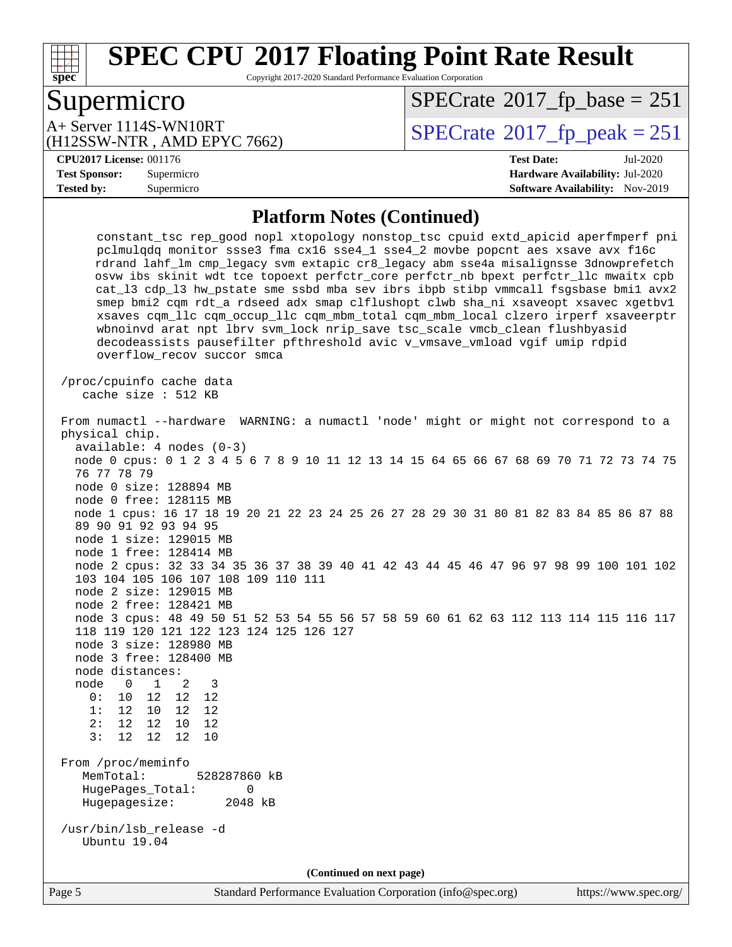

Copyright 2017-2020 Standard Performance Evaluation Corporation

# Supermicro

 $SPECTate@2017_fp\_base = 251$ 

(H12SSW-NTR , AMD EPYC 7662) A+ Server 1114S-WN10RT<br>
(H12SSW-NTR, AMD EPYC 7662) [SPECrate](http://www.spec.org/auto/cpu2017/Docs/result-fields.html#SPECrate2017fppeak)®[2017\\_fp\\_peak = 2](http://www.spec.org/auto/cpu2017/Docs/result-fields.html#SPECrate2017fppeak)51

#### **[CPU2017 License:](http://www.spec.org/auto/cpu2017/Docs/result-fields.html#CPU2017License)** 001176 **[Test Date:](http://www.spec.org/auto/cpu2017/Docs/result-fields.html#TestDate)** Jul-2020

**[Test Sponsor:](http://www.spec.org/auto/cpu2017/Docs/result-fields.html#TestSponsor)** Supermicro **[Hardware Availability:](http://www.spec.org/auto/cpu2017/Docs/result-fields.html#HardwareAvailability)** Jul-2020 **[Tested by:](http://www.spec.org/auto/cpu2017/Docs/result-fields.html#Testedby)** Supermicro **[Software Availability:](http://www.spec.org/auto/cpu2017/Docs/result-fields.html#SoftwareAvailability)** Nov-2019

#### **[Platform Notes \(Continued\)](http://www.spec.org/auto/cpu2017/Docs/result-fields.html#PlatformNotes)**

| constant_tsc rep_good nopl xtopology nonstop_tsc cpuid extd_apicid aperfmperf pni<br>pclmulqdq monitor ssse3 fma cx16 sse4_1 sse4_2 movbe popcnt aes xsave avx f16c<br>rdrand lahf_lm cmp_legacy svm extapic cr8_legacy abm sse4a misalignsse 3dnowprefetch<br>osvw ibs skinit wdt tce topoext perfctr_core perfctr_nb bpext perfctr_llc mwaitx cpb<br>cat_13 cdp_13 hw_pstate sme ssbd mba sev ibrs ibpb stibp vmmcall fsgsbase bmil avx2<br>smep bmi2 cqm rdt_a rdseed adx smap clflushopt clwb sha_ni xsaveopt xsavec xgetbvl<br>xsaves cqm_llc cqm_occup_llc cqm_mbm_total cqm_mbm_local clzero irperf xsaveerptr<br>wbnoinvd arat npt lbrv svm_lock nrip_save tsc_scale vmcb_clean flushbyasid<br>decodeassists pausefilter pfthreshold avic v_vmsave_vmload vgif umip rdpid<br>overflow recov succor smca |  |  |  |  |  |
|-----------------------------------------------------------------------------------------------------------------------------------------------------------------------------------------------------------------------------------------------------------------------------------------------------------------------------------------------------------------------------------------------------------------------------------------------------------------------------------------------------------------------------------------------------------------------------------------------------------------------------------------------------------------------------------------------------------------------------------------------------------------------------------------------------------------|--|--|--|--|--|
| /proc/cpuinfo cache data<br>cache size : 512 KB                                                                                                                                                                                                                                                                                                                                                                                                                                                                                                                                                                                                                                                                                                                                                                 |  |  |  |  |  |
| From numactl --hardware WARNING: a numactl 'node' might or might not correspond to a<br>physical chip.<br>$available: 4 nodes (0-3)$<br>node 0 cpus: 0 1 2 3 4 5 6 7 8 9 10 11 12 13 14 15 64 65 66 67 68 69 70 71 72 73 74 75<br>76 77 78 79                                                                                                                                                                                                                                                                                                                                                                                                                                                                                                                                                                   |  |  |  |  |  |
| node 0 size: 128894 MB<br>node 0 free: 128115 MB<br>node 1 cpus: 16 17 18 19 20 21 22 23 24 25 26 27 28 29 30 31 80 81 82 83 84 85 86 87 88<br>89 90 91 92 93 94 95<br>node 1 size: 129015 MB                                                                                                                                                                                                                                                                                                                                                                                                                                                                                                                                                                                                                   |  |  |  |  |  |
| node 1 free: 128414 MB<br>node 2 cpus: 32 33 34 35 36 37 38 39 40 41 42 43 44 45 46 47 96 97 98 99 100 101 102<br>103 104 105 106 107 108 109 110 111<br>node 2 size: 129015 MB<br>node 2 free: 128421 MB                                                                                                                                                                                                                                                                                                                                                                                                                                                                                                                                                                                                       |  |  |  |  |  |
| node 3 cpus: 48 49 50 51 52 53 54 55 56 57 58 59 60 61 62 63 112 113 114 115 116 117<br>118 119 120 121 122 123 124 125 126 127<br>node 3 size: 128980 MB<br>node 3 free: 128400 MB<br>node distances:                                                                                                                                                                                                                                                                                                                                                                                                                                                                                                                                                                                                          |  |  |  |  |  |
| node<br>$\overline{0}$<br>$\overline{1}$<br>2<br>$\overline{\mathbf{3}}$<br>0: 10 12<br>12<br>12<br>1:<br>12 10<br>12<br>12<br>2:<br>12 12<br>10<br>12<br>3:<br>12 12<br>12<br>10                                                                                                                                                                                                                                                                                                                                                                                                                                                                                                                                                                                                                               |  |  |  |  |  |
| From /proc/meminfo<br>MemTotal:<br>528287860 kB<br>HugePages_Total:<br>$\Omega$<br>Hugepagesize:<br>2048 kB                                                                                                                                                                                                                                                                                                                                                                                                                                                                                                                                                                                                                                                                                                     |  |  |  |  |  |
| /usr/bin/lsb_release -d<br><b>Ubuntu</b> 19.04                                                                                                                                                                                                                                                                                                                                                                                                                                                                                                                                                                                                                                                                                                                                                                  |  |  |  |  |  |
| (Continued on next page)                                                                                                                                                                                                                                                                                                                                                                                                                                                                                                                                                                                                                                                                                                                                                                                        |  |  |  |  |  |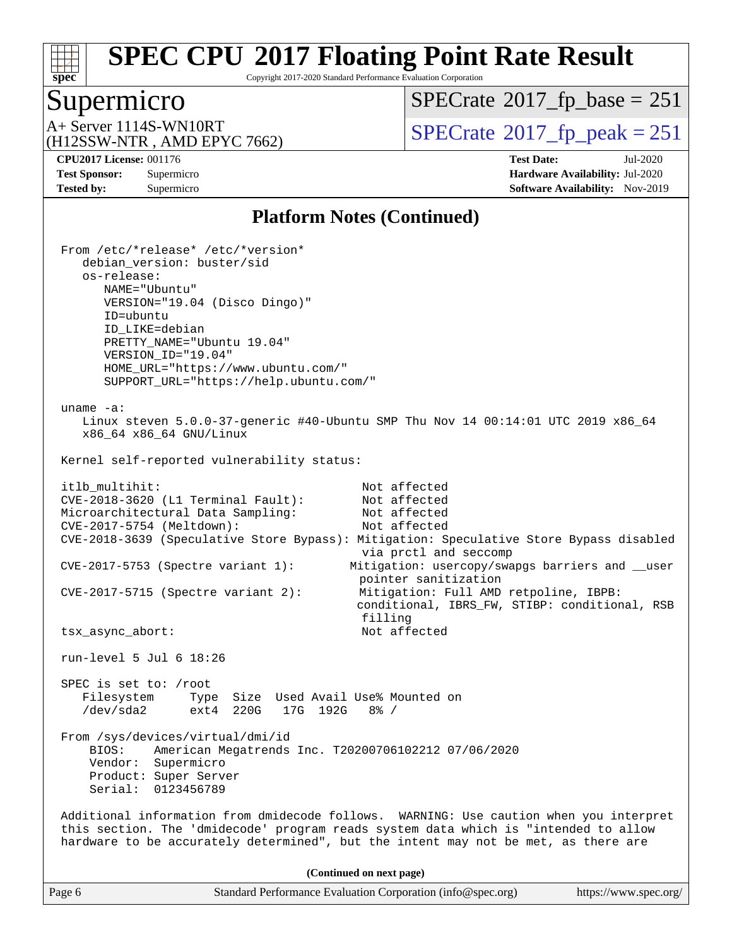

Copyright 2017-2020 Standard Performance Evaluation Corporation

### Supermicro

 $SPECTate@2017_fp\_base = 251$ 

(H12SSW-NTR , AMD EPYC 7662)

 $A+$  Server 1114S-WN10RT  $\begin{array}{c} \text{SPECrate} \text{\textdegree}2017\_fp\_peak = 251 \end{array}$  $\begin{array}{c} \text{SPECrate} \text{\textdegree}2017\_fp\_peak = 251 \end{array}$  $\begin{array}{c} \text{SPECrate} \text{\textdegree}2017\_fp\_peak = 251 \end{array}$ 

**[CPU2017 License:](http://www.spec.org/auto/cpu2017/Docs/result-fields.html#CPU2017License)** 001176 **[Test Date:](http://www.spec.org/auto/cpu2017/Docs/result-fields.html#TestDate)** Jul-2020 **[Test Sponsor:](http://www.spec.org/auto/cpu2017/Docs/result-fields.html#TestSponsor)** Supermicro **[Hardware Availability:](http://www.spec.org/auto/cpu2017/Docs/result-fields.html#HardwareAvailability)** Jul-2020 **[Tested by:](http://www.spec.org/auto/cpu2017/Docs/result-fields.html#Testedby)** Supermicro **[Software Availability:](http://www.spec.org/auto/cpu2017/Docs/result-fields.html#SoftwareAvailability)** Nov-2019

#### **[Platform Notes \(Continued\)](http://www.spec.org/auto/cpu2017/Docs/result-fields.html#PlatformNotes)**

 From /etc/\*release\* /etc/\*version\* debian\_version: buster/sid os-release: NAME="Ubuntu" VERSION="19.04 (Disco Dingo)" ID=ubuntu ID\_LIKE=debian PRETTY\_NAME="Ubuntu 19.04" VERSION\_ID="19.04" HOME\_URL="<https://www.ubuntu.com/"> SUPPORT\_URL="<https://help.ubuntu.com/"> uname -a: Linux steven 5.0.0-37-generic #40-Ubuntu SMP Thu Nov 14 00:14:01 UTC 2019 x86\_64 x86\_64 x86\_64 GNU/Linux Kernel self-reported vulnerability status: itlb\_multihit: Not affected<br>CVE-2018-3620 (L1 Terminal Fault): Not affected  $CVE-2018-3620$  (L1 Terminal Fault): Microarchitectural Data Sampling: Not affected CVE-2017-5754 (Meltdown): Not affected CVE-2018-3639 (Speculative Store Bypass): Mitigation: Speculative Store Bypass disabled via prctl and seccomp CVE-2017-5753 (Spectre variant 1): Mitigation: usercopy/swapgs barriers and \_\_user pointer sanitization CVE-2017-5715 (Spectre variant 2): Mitigation: Full AMD retpoline, IBPB: conditional, IBRS\_FW, STIBP: conditional, RSB filling tsx\_async\_abort: Not affected run-level 5 Jul 6 18:26 SPEC is set to: /root Filesystem Type Size Used Avail Use% Mounted on /dev/sda2 ext4 220G 17G 192G 8% / From /sys/devices/virtual/dmi/id BIOS: American Megatrends Inc. T20200706102212 07/06/2020 Vendor: Supermicro Product: Super Server Serial: 0123456789 Additional information from dmidecode follows. WARNING: Use caution when you interpret this section. The 'dmidecode' program reads system data which is "intended to allow hardware to be accurately determined", but the intent may not be met, as there are **(Continued on next page)**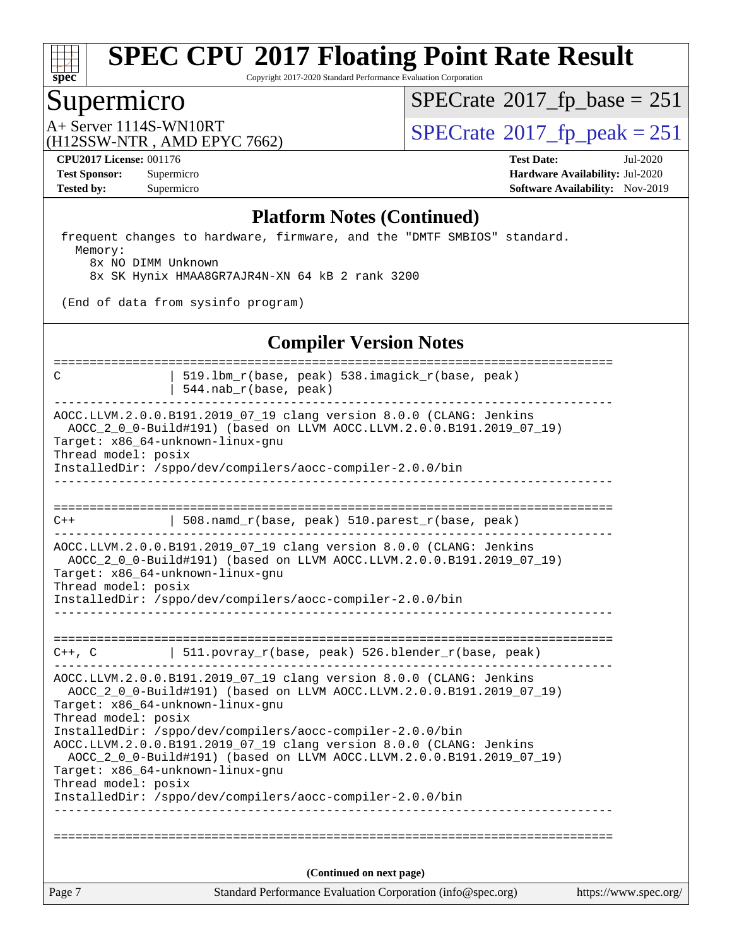

Copyright 2017-2020 Standard Performance Evaluation Corporation

### Supermicro

 $SPECTate@2017_fp\_base = 251$ 

(H12SSW-NTR , AMD EPYC 7662)

 $A+$  Server 1114S-WN10RT  $\begin{array}{c} |$  [SPECrate](http://www.spec.org/auto/cpu2017/Docs/result-fields.html#SPECrate2017fppeak)®[2017\\_fp\\_peak = 2](http://www.spec.org/auto/cpu2017/Docs/result-fields.html#SPECrate2017fppeak)51

**[CPU2017 License:](http://www.spec.org/auto/cpu2017/Docs/result-fields.html#CPU2017License)** 001176 **[Test Date:](http://www.spec.org/auto/cpu2017/Docs/result-fields.html#TestDate)** Jul-2020 **[Test Sponsor:](http://www.spec.org/auto/cpu2017/Docs/result-fields.html#TestSponsor)** Supermicro **[Hardware Availability:](http://www.spec.org/auto/cpu2017/Docs/result-fields.html#HardwareAvailability)** Jul-2020 **[Tested by:](http://www.spec.org/auto/cpu2017/Docs/result-fields.html#Testedby)** Supermicro **[Software Availability:](http://www.spec.org/auto/cpu2017/Docs/result-fields.html#SoftwareAvailability)** Nov-2019

#### **[Platform Notes \(Continued\)](http://www.spec.org/auto/cpu2017/Docs/result-fields.html#PlatformNotes)**

 frequent changes to hardware, firmware, and the "DMTF SMBIOS" standard. Memory:

8x NO DIMM Unknown

8x SK Hynix HMAA8GR7AJR4N-XN 64 kB 2 rank 3200

(End of data from sysinfo program)

#### **[Compiler Version Notes](http://www.spec.org/auto/cpu2017/Docs/result-fields.html#CompilerVersionNotes)**

Page 7 Standard Performance Evaluation Corporation [\(info@spec.org\)](mailto:info@spec.org) <https://www.spec.org/> ============================================================================== C | 519.lbm\_r(base, peak) 538.imagick\_r(base, peak) | 544.nab\_r(base, peak) ------------------------------------------------------------------------------ AOCC.LLVM.2.0.0.B191.2019\_07\_19 clang version 8.0.0 (CLANG: Jenkins AOCC\_2\_0\_0-Build#191) (based on LLVM AOCC.LLVM.2.0.0.B191.2019\_07\_19) Target: x86\_64-unknown-linux-gnu Thread model: posix InstalledDir: /sppo/dev/compilers/aocc-compiler-2.0.0/bin ------------------------------------------------------------------------------ ==============================================================================  $C++$  | 508.namd r(base, peak) 510.parest r(base, peak) ------------------------------------------------------------------------------ AOCC.LLVM.2.0.0.B191.2019\_07\_19 clang version 8.0.0 (CLANG: Jenkins AOCC\_2\_0\_0-Build#191) (based on LLVM AOCC.LLVM.2.0.0.B191.2019\_07\_19) Target: x86\_64-unknown-linux-gnu Thread model: posix InstalledDir: /sppo/dev/compilers/aocc-compiler-2.0.0/bin ------------------------------------------------------------------------------ ============================================================================== C++, C | 511.povray\_r(base, peak) 526.blender\_r(base, peak) ------------------------------------------------------------------------------ AOCC.LLVM.2.0.0.B191.2019\_07\_19 clang version 8.0.0 (CLANG: Jenkins AOCC\_2\_0\_0-Build#191) (based on LLVM AOCC.LLVM.2.0.0.B191.2019\_07\_19) Target: x86\_64-unknown-linux-gnu Thread model: posix InstalledDir: /sppo/dev/compilers/aocc-compiler-2.0.0/bin AOCC.LLVM.2.0.0.B191.2019\_07\_19 clang version 8.0.0 (CLANG: Jenkins AOCC\_2\_0\_0-Build#191) (based on LLVM AOCC.LLVM.2.0.0.B191.2019\_07\_19) Target: x86\_64-unknown-linux-gnu Thread model: posix InstalledDir: /sppo/dev/compilers/aocc-compiler-2.0.0/bin ------------------------------------------------------------------------------ ============================================================================== **(Continued on next page)**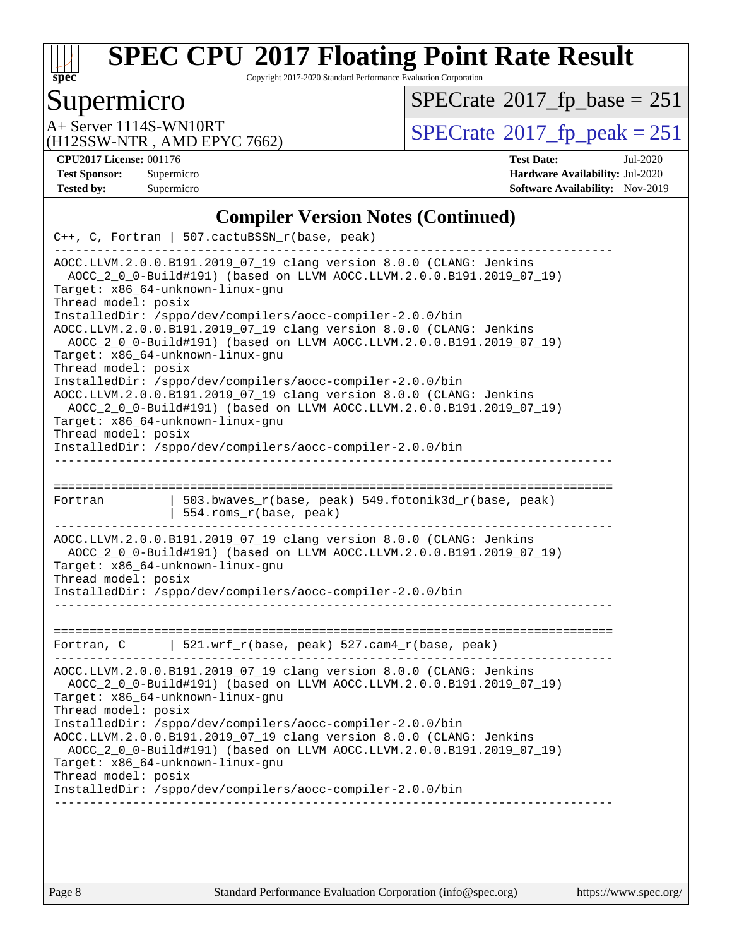

Copyright 2017-2020 Standard Performance Evaluation Corporation

### Supermicro

 $SPECTate@2017_fp\_base = 251$ 

(H12SSW-NTR , AMD EPYC 7662)

A+ Server 1114S-WN10RT<br>
(H12SSW-NTR, AMD EPYC 7662) [SPECrate](http://www.spec.org/auto/cpu2017/Docs/result-fields.html#SPECrate2017fppeak)®[2017\\_fp\\_peak = 2](http://www.spec.org/auto/cpu2017/Docs/result-fields.html#SPECrate2017fppeak)51

**[CPU2017 License:](http://www.spec.org/auto/cpu2017/Docs/result-fields.html#CPU2017License)** 001176 **[Test Date:](http://www.spec.org/auto/cpu2017/Docs/result-fields.html#TestDate)** Jul-2020 **[Test Sponsor:](http://www.spec.org/auto/cpu2017/Docs/result-fields.html#TestSponsor)** Supermicro **[Hardware Availability:](http://www.spec.org/auto/cpu2017/Docs/result-fields.html#HardwareAvailability)** Jul-2020 **[Tested by:](http://www.spec.org/auto/cpu2017/Docs/result-fields.html#Testedby)** Supermicro **[Software Availability:](http://www.spec.org/auto/cpu2017/Docs/result-fields.html#SoftwareAvailability)** Nov-2019

### **[Compiler Version Notes \(Continued\)](http://www.spec.org/auto/cpu2017/Docs/result-fields.html#CompilerVersionNotes)**

| AOCC.LLVM.2.0.0.B191.2019_07_19 clang version 8.0.0 (CLANG: Jenkins<br>AOCC_2_0_0-Build#191) (based on LLVM AOCC.LLVM.2.0.0.B191.2019_07_19)<br>Target: x86_64-unknown-linux-gnu<br>Thread model: posix                                                                                                                                                                                                                                                                                                                                                                                                   |  |  |  |  |  |  |
|-----------------------------------------------------------------------------------------------------------------------------------------------------------------------------------------------------------------------------------------------------------------------------------------------------------------------------------------------------------------------------------------------------------------------------------------------------------------------------------------------------------------------------------------------------------------------------------------------------------|--|--|--|--|--|--|
| InstalledDir: /sppo/dev/compilers/aocc-compiler-2.0.0/bin<br>AOCC.LLVM.2.0.0.B191.2019_07_19 clang version 8.0.0 (CLANG: Jenkins<br>AOCC_2_0_0-Build#191) (based on LLVM AOCC.LLVM.2.0.0.B191.2019_07_19)<br>Target: x86_64-unknown-linux-gnu<br>Thread model: posix<br>InstalledDir: /sppo/dev/compilers/aocc-compiler-2.0.0/bin<br>AOCC.LLVM.2.0.0.B191.2019_07_19 clang version 8.0.0 (CLANG: Jenkins<br>AOCC_2_0_0-Build#191) (based on LLVM AOCC.LLVM.2.0.0.B191.2019_07_19)<br>Target: x86_64-unknown-linux-gnu<br>Thread model: posix<br>InstalledDir: /sppo/dev/compilers/aocc-compiler-2.0.0/bin |  |  |  |  |  |  |
| =================                                                                                                                                                                                                                                                                                                                                                                                                                                                                                                                                                                                         |  |  |  |  |  |  |
| 503.bwaves_r(base, peak) 549.fotonik3d_r(base, peak)<br>Fortran<br>554.roms r(base, peak)                                                                                                                                                                                                                                                                                                                                                                                                                                                                                                                 |  |  |  |  |  |  |
| AOCC.LLVM.2.0.0.B191.2019_07_19 clang version 8.0.0 (CLANG: Jenkins<br>AOCC_2_0_0-Build#191) (based on LLVM AOCC.LLVM.2.0.0.B191.2019_07_19)<br>Target: x86 64-unknown-linux-gnu<br>Thread model: posix<br>InstalledDir: /sppo/dev/compilers/aocc-compiler-2.0.0/bin                                                                                                                                                                                                                                                                                                                                      |  |  |  |  |  |  |
| Fortran, C   521.wrf_r(base, peak) $527.cam4_r(base, peak)$                                                                                                                                                                                                                                                                                                                                                                                                                                                                                                                                               |  |  |  |  |  |  |
| AOCC.LLVM.2.0.0.B191.2019_07_19 clang version 8.0.0 (CLANG: Jenkins<br>AOCC_2_0_0-Build#191) (based on LLVM AOCC.LLVM.2.0.0.B191.2019_07_19)<br>Target: x86_64-unknown-linux-gnu<br>Thread model: posix<br>InstalledDir: /sppo/dev/compilers/aocc-compiler-2.0.0/bin<br>AOCC.LLVM.2.0.0.B191.2019_07_19 clang version 8.0.0 (CLANG: Jenkins<br>AOCC_2_0_0-Build#191) (based on LLVM AOCC.LLVM.2.0.0.B191.2019_07_19)<br>Target: x86_64-unknown-linux-gnu<br>Thread model: posix<br>InstalledDir: /sppo/dev/compilers/aocc-compiler-2.0.0/bin                                                              |  |  |  |  |  |  |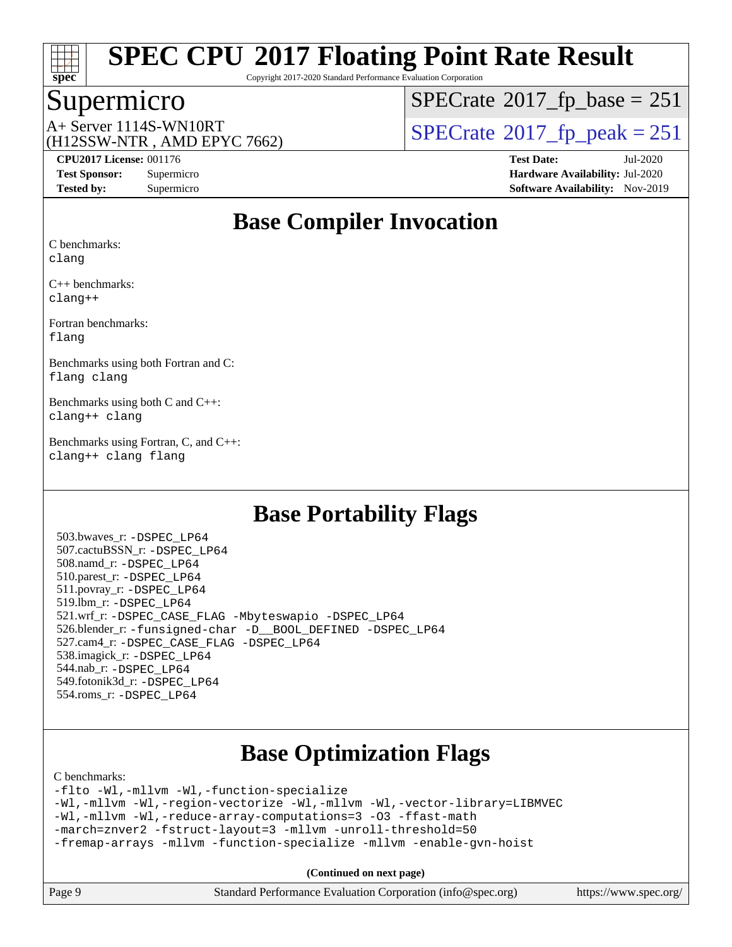

Copyright 2017-2020 Standard Performance Evaluation Corporation

### Supermicro

 $SPECTate@2017_fp\_base = 251$ 

(H12SSW-NTR , AMD EPYC 7662)

A+ Server 1114S-WN10RT<br>  $\langle \text{H12SSW-NTR} \rangle$  AMD FPYC 7662)  $\langle \text{SPECrate} \rangle$  $\langle \text{SPECrate} \rangle$  $\langle \text{SPECrate} \rangle$  SPEC rate 2017 fp\_peak = 251

**[CPU2017 License:](http://www.spec.org/auto/cpu2017/Docs/result-fields.html#CPU2017License)** 001176 **[Test Date:](http://www.spec.org/auto/cpu2017/Docs/result-fields.html#TestDate)** Jul-2020 **[Test Sponsor:](http://www.spec.org/auto/cpu2017/Docs/result-fields.html#TestSponsor)** Supermicro **[Hardware Availability:](http://www.spec.org/auto/cpu2017/Docs/result-fields.html#HardwareAvailability)** Jul-2020 **[Tested by:](http://www.spec.org/auto/cpu2017/Docs/result-fields.html#Testedby)** Supermicro **[Software Availability:](http://www.spec.org/auto/cpu2017/Docs/result-fields.html#SoftwareAvailability)** Nov-2019

### **[Base Compiler Invocation](http://www.spec.org/auto/cpu2017/Docs/result-fields.html#BaseCompilerInvocation)**

[C benchmarks](http://www.spec.org/auto/cpu2017/Docs/result-fields.html#Cbenchmarks):

[clang](http://www.spec.org/cpu2017/results/res2020q3/cpu2017-20200818-23743.flags.html#user_CCbase_clang-c)

[C++ benchmarks:](http://www.spec.org/auto/cpu2017/Docs/result-fields.html#CXXbenchmarks) [clang++](http://www.spec.org/cpu2017/results/res2020q3/cpu2017-20200818-23743.flags.html#user_CXXbase_clang-cpp)

[Fortran benchmarks](http://www.spec.org/auto/cpu2017/Docs/result-fields.html#Fortranbenchmarks): [flang](http://www.spec.org/cpu2017/results/res2020q3/cpu2017-20200818-23743.flags.html#user_FCbase_flang)

[Benchmarks using both Fortran and C](http://www.spec.org/auto/cpu2017/Docs/result-fields.html#BenchmarksusingbothFortranandC): [flang](http://www.spec.org/cpu2017/results/res2020q3/cpu2017-20200818-23743.flags.html#user_CC_FCbase_flang) [clang](http://www.spec.org/cpu2017/results/res2020q3/cpu2017-20200818-23743.flags.html#user_CC_FCbase_clang-c)

[Benchmarks using both C and C++:](http://www.spec.org/auto/cpu2017/Docs/result-fields.html#BenchmarksusingbothCandCXX) [clang++](http://www.spec.org/cpu2017/results/res2020q3/cpu2017-20200818-23743.flags.html#user_CC_CXXbase_clang-cpp) [clang](http://www.spec.org/cpu2017/results/res2020q3/cpu2017-20200818-23743.flags.html#user_CC_CXXbase_clang-c)

[Benchmarks using Fortran, C, and C++:](http://www.spec.org/auto/cpu2017/Docs/result-fields.html#BenchmarksusingFortranCandCXX) [clang++](http://www.spec.org/cpu2017/results/res2020q3/cpu2017-20200818-23743.flags.html#user_CC_CXX_FCbase_clang-cpp) [clang](http://www.spec.org/cpu2017/results/res2020q3/cpu2017-20200818-23743.flags.html#user_CC_CXX_FCbase_clang-c) [flang](http://www.spec.org/cpu2017/results/res2020q3/cpu2017-20200818-23743.flags.html#user_CC_CXX_FCbase_flang)

### **[Base Portability Flags](http://www.spec.org/auto/cpu2017/Docs/result-fields.html#BasePortabilityFlags)**

 503.bwaves\_r: [-DSPEC\\_LP64](http://www.spec.org/cpu2017/results/res2020q3/cpu2017-20200818-23743.flags.html#suite_baseEXTRA_PORTABILITY503_bwaves_r_DSPEC_LP64) 507.cactuBSSN\_r: [-DSPEC\\_LP64](http://www.spec.org/cpu2017/results/res2020q3/cpu2017-20200818-23743.flags.html#suite_baseEXTRA_PORTABILITY507_cactuBSSN_r_DSPEC_LP64) 508.namd\_r: [-DSPEC\\_LP64](http://www.spec.org/cpu2017/results/res2020q3/cpu2017-20200818-23743.flags.html#suite_baseEXTRA_PORTABILITY508_namd_r_DSPEC_LP64) 510.parest\_r: [-DSPEC\\_LP64](http://www.spec.org/cpu2017/results/res2020q3/cpu2017-20200818-23743.flags.html#suite_baseEXTRA_PORTABILITY510_parest_r_DSPEC_LP64) 511.povray\_r: [-DSPEC\\_LP64](http://www.spec.org/cpu2017/results/res2020q3/cpu2017-20200818-23743.flags.html#suite_baseEXTRA_PORTABILITY511_povray_r_DSPEC_LP64) 519.lbm\_r: [-DSPEC\\_LP64](http://www.spec.org/cpu2017/results/res2020q3/cpu2017-20200818-23743.flags.html#suite_baseEXTRA_PORTABILITY519_lbm_r_DSPEC_LP64) 521.wrf\_r: [-DSPEC\\_CASE\\_FLAG](http://www.spec.org/cpu2017/results/res2020q3/cpu2017-20200818-23743.flags.html#b521.wrf_r_baseCPORTABILITY_DSPEC_CASE_FLAG) [-Mbyteswapio](http://www.spec.org/cpu2017/results/res2020q3/cpu2017-20200818-23743.flags.html#user_baseFPORTABILITY521_wrf_r_F-mbyteswapio_543c39ce38db59bcbc3b888917ef58c313007ae1c27520b689e012995ae261114051d1d5efcb4182d175ce22a6a15532d3a9999882dd2c360e6d853f41da6883) [-DSPEC\\_LP64](http://www.spec.org/cpu2017/results/res2020q3/cpu2017-20200818-23743.flags.html#suite_baseEXTRA_PORTABILITY521_wrf_r_DSPEC_LP64) 526.blender\_r: [-funsigned-char](http://www.spec.org/cpu2017/results/res2020q3/cpu2017-20200818-23743.flags.html#user_baseCPORTABILITY526_blender_r_aocc-unsigned-char) [-D\\_\\_BOOL\\_DEFINED](http://www.spec.org/cpu2017/results/res2020q3/cpu2017-20200818-23743.flags.html#b526.blender_r_baseCXXPORTABILITY_D__BOOL_DEFINED) [-DSPEC\\_LP64](http://www.spec.org/cpu2017/results/res2020q3/cpu2017-20200818-23743.flags.html#suite_baseEXTRA_PORTABILITY526_blender_r_DSPEC_LP64) 527.cam4\_r: [-DSPEC\\_CASE\\_FLAG](http://www.spec.org/cpu2017/results/res2020q3/cpu2017-20200818-23743.flags.html#b527.cam4_r_basePORTABILITY_DSPEC_CASE_FLAG) [-DSPEC\\_LP64](http://www.spec.org/cpu2017/results/res2020q3/cpu2017-20200818-23743.flags.html#suite_baseEXTRA_PORTABILITY527_cam4_r_DSPEC_LP64) 538.imagick\_r: [-DSPEC\\_LP64](http://www.spec.org/cpu2017/results/res2020q3/cpu2017-20200818-23743.flags.html#suite_baseEXTRA_PORTABILITY538_imagick_r_DSPEC_LP64) 544.nab\_r: [-DSPEC\\_LP64](http://www.spec.org/cpu2017/results/res2020q3/cpu2017-20200818-23743.flags.html#suite_baseEXTRA_PORTABILITY544_nab_r_DSPEC_LP64) 549.fotonik3d\_r: [-DSPEC\\_LP64](http://www.spec.org/cpu2017/results/res2020q3/cpu2017-20200818-23743.flags.html#suite_baseEXTRA_PORTABILITY549_fotonik3d_r_DSPEC_LP64) 554.roms\_r: [-DSPEC\\_LP64](http://www.spec.org/cpu2017/results/res2020q3/cpu2017-20200818-23743.flags.html#suite_baseEXTRA_PORTABILITY554_roms_r_DSPEC_LP64)

# **[Base Optimization Flags](http://www.spec.org/auto/cpu2017/Docs/result-fields.html#BaseOptimizationFlags)**

[C benchmarks](http://www.spec.org/auto/cpu2017/Docs/result-fields.html#Cbenchmarks):

[-flto](http://www.spec.org/cpu2017/results/res2020q3/cpu2017-20200818-23743.flags.html#user_CCbase_aocc-flto) [-Wl,-mllvm -Wl,-function-specialize](http://www.spec.org/cpu2017/results/res2020q3/cpu2017-20200818-23743.flags.html#user_CCbase_F-function-specialize_7e7e661e57922243ee67c9a1251cb8910e607325179a0ce7f2884e09a6f5d4a5ef0ae4f37e8a2a11c95fc48e931f06dc2b6016f14b511fcb441e048bef1b065a) [-Wl,-mllvm -Wl,-region-vectorize](http://www.spec.org/cpu2017/results/res2020q3/cpu2017-20200818-23743.flags.html#user_CCbase_F-region-vectorize_fb6c6b5aa293c88efc6c7c2b52b20755e943585b1fe8658c35afef78727fff56e1a56891413c30e36b8e2a6f9a71126986319243e80eb6110b78b288f533c52b) [-Wl,-mllvm -Wl,-vector-library=LIBMVEC](http://www.spec.org/cpu2017/results/res2020q3/cpu2017-20200818-23743.flags.html#user_CCbase_F-use-vector-library_0a14b27fae317f283640384a31f7bfcc2bd4c1d0b5cfc618a3a430800c9b20217b00f61303eff223a3251b4f06ffbc9739dc5296db9d1fbb9ad24a3939d86d66) [-Wl,-mllvm -Wl,-reduce-array-computations=3](http://www.spec.org/cpu2017/results/res2020q3/cpu2017-20200818-23743.flags.html#user_CCbase_F-reduce-array-computations_b882aefe7a5dda4e33149f6299762b9a720dace3e498e13756f4c04e5a19edf5315c1f3993de2e61ec41e8c206231f84e05da7040e1bb5d69ba27d10a12507e4) [-O3](http://www.spec.org/cpu2017/results/res2020q3/cpu2017-20200818-23743.flags.html#user_CCbase_F-O3) [-ffast-math](http://www.spec.org/cpu2017/results/res2020q3/cpu2017-20200818-23743.flags.html#user_CCbase_aocc-ffast-math) [-march=znver2](http://www.spec.org/cpu2017/results/res2020q3/cpu2017-20200818-23743.flags.html#user_CCbase_aocc-march_3e2e19cff2eeef60c5d90b059483627c9ea47eca6d66670dbd53f9185f6439e27eb5e104cf773e9e8ab18c8842ce63e461a3e948d0214bd567ef3ade411bf467) [-fstruct-layout=3](http://www.spec.org/cpu2017/results/res2020q3/cpu2017-20200818-23743.flags.html#user_CCbase_F-struct-layout) [-mllvm -unroll-threshold=50](http://www.spec.org/cpu2017/results/res2020q3/cpu2017-20200818-23743.flags.html#user_CCbase_F-unroll-threshold_458874500b2c105d6d5cb4d7a611c40e2b16e9e3d26b355fea72d644c3673b4de4b3932662f0ed3dbec75c491a13da2d2ca81180bd779dc531083ef1e1e549dc) [-fremap-arrays](http://www.spec.org/cpu2017/results/res2020q3/cpu2017-20200818-23743.flags.html#user_CCbase_F-fremap-arrays) [-mllvm -function-specialize](http://www.spec.org/cpu2017/results/res2020q3/cpu2017-20200818-23743.flags.html#user_CCbase_F-function-specialize_233b3bdba86027f1b094368157e481c5bc59f40286dc25bfadc1858dcd5745c24fd30d5f188710db7fea399bcc9f44a80b3ce3aacc70a8870250c3ae5e1f35b8) [-mllvm -enable-gvn-hoist](http://www.spec.org/cpu2017/results/res2020q3/cpu2017-20200818-23743.flags.html#user_CCbase_F-enable-gvn-hoist_e5856354646dd6ca1333a0ad99b817e4cf8932b91b82809fd8fd47ceff7b22a89eba5c98fd3e3fa5200368fd772cec3dd56abc3c8f7b655a71b9f9848dddedd5)

| https://www.spec.org/ |
|-----------------------|
|                       |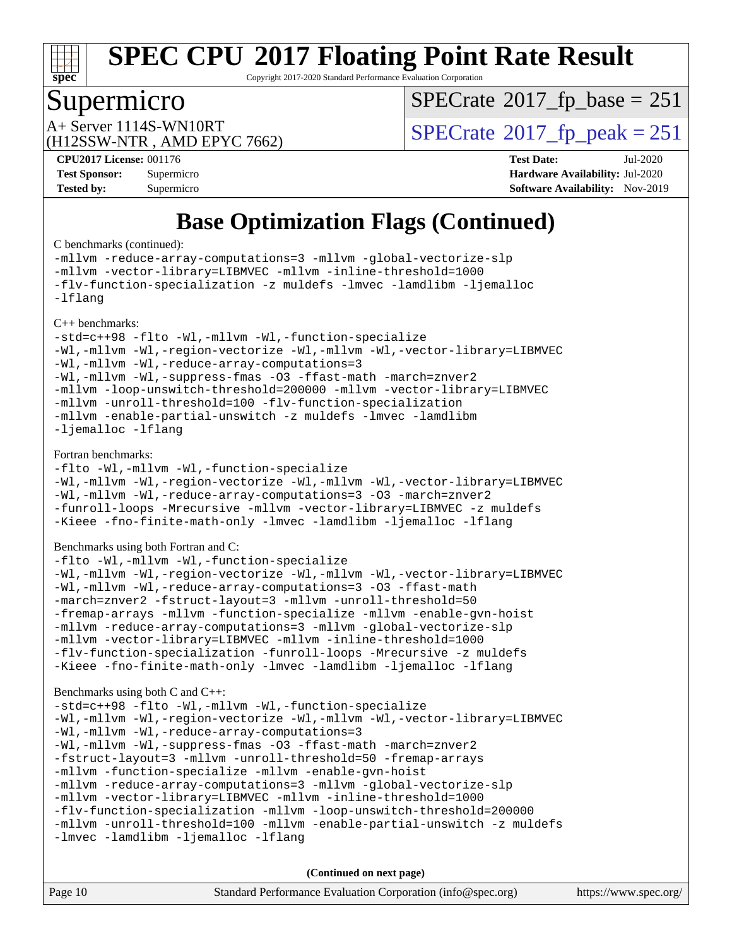

Copyright 2017-2020 Standard Performance Evaluation Corporation

### Supermicro

 $SPECTate@2017_fp\_base = 251$ 

(H12SSW-NTR , AMD EPYC 7662)

A+ Server 1114S-WN10RT<br>  $\langle \text{H12SSW-NTR} \rangle$  AMD FPYC 7662)  $\langle \text{SPECrate} \rangle$  $\langle \text{SPECrate} \rangle$  $\langle \text{SPECrate} \rangle$  SPEC rate 2017 fp\_peak = 251

**[CPU2017 License:](http://www.spec.org/auto/cpu2017/Docs/result-fields.html#CPU2017License)** 001176 **[Test Date:](http://www.spec.org/auto/cpu2017/Docs/result-fields.html#TestDate)** Jul-2020 **[Test Sponsor:](http://www.spec.org/auto/cpu2017/Docs/result-fields.html#TestSponsor)** Supermicro **[Hardware Availability:](http://www.spec.org/auto/cpu2017/Docs/result-fields.html#HardwareAvailability)** Jul-2020 **[Tested by:](http://www.spec.org/auto/cpu2017/Docs/result-fields.html#Testedby)** Supermicro **[Software Availability:](http://www.spec.org/auto/cpu2017/Docs/result-fields.html#SoftwareAvailability)** Nov-2019

# **[Base Optimization Flags \(Continued\)](http://www.spec.org/auto/cpu2017/Docs/result-fields.html#BaseOptimizationFlags)**

[C benchmarks](http://www.spec.org/auto/cpu2017/Docs/result-fields.html#Cbenchmarks) (continued):

[-mllvm -reduce-array-computations=3](http://www.spec.org/cpu2017/results/res2020q3/cpu2017-20200818-23743.flags.html#user_CCbase_F-reduce-array-computations_aceadb8604558b566e0e3a0d7a3c1533923dd1fa0889614e16288028922629a28d5695c24d3b3be4306b1e311c54317dfffe3a2e57fbcaabc737a1798de39145) [-mllvm -global-vectorize-slp](http://www.spec.org/cpu2017/results/res2020q3/cpu2017-20200818-23743.flags.html#user_CCbase_F-global-vectorize-slp_a3935e8627af4ced727033b1ffd4db27f4d541a363d28d82bf4c2925fb3a0fd4115d6e42d13a2829f9e024d6608eb67a85cb49770f2da5c5ac8dbc737afad603) [-mllvm -vector-library=LIBMVEC](http://www.spec.org/cpu2017/results/res2020q3/cpu2017-20200818-23743.flags.html#user_CCbase_F-use-vector-library_e584e20b4f7ec96aa109254b65d8e01d864f3d68580371b9d93ed7c338191d4cfce20c3c864632264effc6bbe4c7c38153d02096a342ee92501c4a53204a7871) [-mllvm -inline-threshold=1000](http://www.spec.org/cpu2017/results/res2020q3/cpu2017-20200818-23743.flags.html#user_CCbase_dragonegg-llvm-inline-threshold_b7832241b0a6397e4ecdbaf0eb7defdc10f885c2a282fa3240fdc99844d543fda39cf8a4a9dccf68cf19b5438ac3b455264f478df15da0f4988afa40d8243bab) [-flv-function-specialization](http://www.spec.org/cpu2017/results/res2020q3/cpu2017-20200818-23743.flags.html#user_CCbase_F-flv-function-specialization) [-z muldefs](http://www.spec.org/cpu2017/results/res2020q3/cpu2017-20200818-23743.flags.html#user_CCbase_aocc-muldefs) [-lmvec](http://www.spec.org/cpu2017/results/res2020q3/cpu2017-20200818-23743.flags.html#user_CCbase_F-lmvec) [-lamdlibm](http://www.spec.org/cpu2017/results/res2020q3/cpu2017-20200818-23743.flags.html#user_CCbase_F-lamdlibm) [-ljemalloc](http://www.spec.org/cpu2017/results/res2020q3/cpu2017-20200818-23743.flags.html#user_CCbase_jemalloc-lib) [-lflang](http://www.spec.org/cpu2017/results/res2020q3/cpu2017-20200818-23743.flags.html#user_CCbase_F-lflang) [C++ benchmarks:](http://www.spec.org/auto/cpu2017/Docs/result-fields.html#CXXbenchmarks)

[-std=c++98](http://www.spec.org/cpu2017/results/res2020q3/cpu2017-20200818-23743.flags.html#user_CXXbase_std-cpp) [-flto](http://www.spec.org/cpu2017/results/res2020q3/cpu2017-20200818-23743.flags.html#user_CXXbase_aocc-flto) [-Wl,-mllvm -Wl,-function-specialize](http://www.spec.org/cpu2017/results/res2020q3/cpu2017-20200818-23743.flags.html#user_CXXbase_F-function-specialize_7e7e661e57922243ee67c9a1251cb8910e607325179a0ce7f2884e09a6f5d4a5ef0ae4f37e8a2a11c95fc48e931f06dc2b6016f14b511fcb441e048bef1b065a) [-Wl,-mllvm -Wl,-region-vectorize](http://www.spec.org/cpu2017/results/res2020q3/cpu2017-20200818-23743.flags.html#user_CXXbase_F-region-vectorize_fb6c6b5aa293c88efc6c7c2b52b20755e943585b1fe8658c35afef78727fff56e1a56891413c30e36b8e2a6f9a71126986319243e80eb6110b78b288f533c52b) [-Wl,-mllvm -Wl,-vector-library=LIBMVEC](http://www.spec.org/cpu2017/results/res2020q3/cpu2017-20200818-23743.flags.html#user_CXXbase_F-use-vector-library_0a14b27fae317f283640384a31f7bfcc2bd4c1d0b5cfc618a3a430800c9b20217b00f61303eff223a3251b4f06ffbc9739dc5296db9d1fbb9ad24a3939d86d66) [-Wl,-mllvm -Wl,-reduce-array-computations=3](http://www.spec.org/cpu2017/results/res2020q3/cpu2017-20200818-23743.flags.html#user_CXXbase_F-reduce-array-computations_b882aefe7a5dda4e33149f6299762b9a720dace3e498e13756f4c04e5a19edf5315c1f3993de2e61ec41e8c206231f84e05da7040e1bb5d69ba27d10a12507e4) [-Wl,-mllvm -Wl,-suppress-fmas](http://www.spec.org/cpu2017/results/res2020q3/cpu2017-20200818-23743.flags.html#user_CXXbase_F-suppress-fmas_f00f00630e4a059e8af9c161e9bbf420bcf19890a7f99d5933525e66aa4b0bb3ab2339d2b12d97d3a5f5d271e839fe9c109938e91fe06230fb53651590cfa1e8) [-O3](http://www.spec.org/cpu2017/results/res2020q3/cpu2017-20200818-23743.flags.html#user_CXXbase_F-O3) [-ffast-math](http://www.spec.org/cpu2017/results/res2020q3/cpu2017-20200818-23743.flags.html#user_CXXbase_aocc-ffast-math) [-march=znver2](http://www.spec.org/cpu2017/results/res2020q3/cpu2017-20200818-23743.flags.html#user_CXXbase_aocc-march_3e2e19cff2eeef60c5d90b059483627c9ea47eca6d66670dbd53f9185f6439e27eb5e104cf773e9e8ab18c8842ce63e461a3e948d0214bd567ef3ade411bf467) [-mllvm -loop-unswitch-threshold=200000](http://www.spec.org/cpu2017/results/res2020q3/cpu2017-20200818-23743.flags.html#user_CXXbase_F-loop-unswitch-threshold_f9a82ae3270e55b5fbf79d0d96ee93606b73edbbe527d20b18b7bff1a3a146ad50cfc7454c5297978340ae9213029016a7d16221274d672d3f7f42ed25274e1d) [-mllvm -vector-library=LIBMVEC](http://www.spec.org/cpu2017/results/res2020q3/cpu2017-20200818-23743.flags.html#user_CXXbase_F-use-vector-library_e584e20b4f7ec96aa109254b65d8e01d864f3d68580371b9d93ed7c338191d4cfce20c3c864632264effc6bbe4c7c38153d02096a342ee92501c4a53204a7871) [-mllvm -unroll-threshold=100](http://www.spec.org/cpu2017/results/res2020q3/cpu2017-20200818-23743.flags.html#user_CXXbase_F-unroll-threshold_2755d0c78138845d361fa1543e3a063fffa198df9b3edf0cfb856bbc88a81e1769b12ac7a550c5d35197be55360db1a3f95a8d1304df999456cabf5120c45168) [-flv-function-specialization](http://www.spec.org/cpu2017/results/res2020q3/cpu2017-20200818-23743.flags.html#user_CXXbase_F-flv-function-specialization) [-mllvm -enable-partial-unswitch](http://www.spec.org/cpu2017/results/res2020q3/cpu2017-20200818-23743.flags.html#user_CXXbase_F-enable-partial-unswitch_6e1c33f981d77963b1eaf834973128a7f33ce3f8e27f54689656697a35e89dcc875281e0e6283d043e32f367dcb605ba0e307a92e830f7e326789fa6c61b35d3) [-z muldefs](http://www.spec.org/cpu2017/results/res2020q3/cpu2017-20200818-23743.flags.html#user_CXXbase_aocc-muldefs) [-lmvec](http://www.spec.org/cpu2017/results/res2020q3/cpu2017-20200818-23743.flags.html#user_CXXbase_F-lmvec) [-lamdlibm](http://www.spec.org/cpu2017/results/res2020q3/cpu2017-20200818-23743.flags.html#user_CXXbase_F-lamdlibm) [-ljemalloc](http://www.spec.org/cpu2017/results/res2020q3/cpu2017-20200818-23743.flags.html#user_CXXbase_jemalloc-lib) [-lflang](http://www.spec.org/cpu2017/results/res2020q3/cpu2017-20200818-23743.flags.html#user_CXXbase_F-lflang)

#### [Fortran benchmarks](http://www.spec.org/auto/cpu2017/Docs/result-fields.html#Fortranbenchmarks):

[-flto](http://www.spec.org/cpu2017/results/res2020q3/cpu2017-20200818-23743.flags.html#user_FCbase_aocc-flto) [-Wl,-mllvm -Wl,-function-specialize](http://www.spec.org/cpu2017/results/res2020q3/cpu2017-20200818-23743.flags.html#user_FCbase_F-function-specialize_7e7e661e57922243ee67c9a1251cb8910e607325179a0ce7f2884e09a6f5d4a5ef0ae4f37e8a2a11c95fc48e931f06dc2b6016f14b511fcb441e048bef1b065a) [-Wl,-mllvm -Wl,-region-vectorize](http://www.spec.org/cpu2017/results/res2020q3/cpu2017-20200818-23743.flags.html#user_FCbase_F-region-vectorize_fb6c6b5aa293c88efc6c7c2b52b20755e943585b1fe8658c35afef78727fff56e1a56891413c30e36b8e2a6f9a71126986319243e80eb6110b78b288f533c52b) [-Wl,-mllvm -Wl,-vector-library=LIBMVEC](http://www.spec.org/cpu2017/results/res2020q3/cpu2017-20200818-23743.flags.html#user_FCbase_F-use-vector-library_0a14b27fae317f283640384a31f7bfcc2bd4c1d0b5cfc618a3a430800c9b20217b00f61303eff223a3251b4f06ffbc9739dc5296db9d1fbb9ad24a3939d86d66) [-Wl,-mllvm -Wl,-reduce-array-computations=3](http://www.spec.org/cpu2017/results/res2020q3/cpu2017-20200818-23743.flags.html#user_FCbase_F-reduce-array-computations_b882aefe7a5dda4e33149f6299762b9a720dace3e498e13756f4c04e5a19edf5315c1f3993de2e61ec41e8c206231f84e05da7040e1bb5d69ba27d10a12507e4) [-O3](http://www.spec.org/cpu2017/results/res2020q3/cpu2017-20200818-23743.flags.html#user_FCbase_F-O3) [-march=znver2](http://www.spec.org/cpu2017/results/res2020q3/cpu2017-20200818-23743.flags.html#user_FCbase_aocc-march_3e2e19cff2eeef60c5d90b059483627c9ea47eca6d66670dbd53f9185f6439e27eb5e104cf773e9e8ab18c8842ce63e461a3e948d0214bd567ef3ade411bf467) [-funroll-loops](http://www.spec.org/cpu2017/results/res2020q3/cpu2017-20200818-23743.flags.html#user_FCbase_aocc-unroll-loops) [-Mrecursive](http://www.spec.org/cpu2017/results/res2020q3/cpu2017-20200818-23743.flags.html#user_FCbase_F-mrecursive_20a145d63f12d5750a899e17d4450b5b8b40330a9bb4af13688ca650e6fb30857bbbe44fb35cdbb895df6e5b2769de0a0d7659f51ff17acfbef6febafec4023f) [-mllvm -vector-library=LIBMVEC](http://www.spec.org/cpu2017/results/res2020q3/cpu2017-20200818-23743.flags.html#user_FCbase_F-use-vector-library_e584e20b4f7ec96aa109254b65d8e01d864f3d68580371b9d93ed7c338191d4cfce20c3c864632264effc6bbe4c7c38153d02096a342ee92501c4a53204a7871) [-z muldefs](http://www.spec.org/cpu2017/results/res2020q3/cpu2017-20200818-23743.flags.html#user_FCbase_aocc-muldefs) [-Kieee](http://www.spec.org/cpu2017/results/res2020q3/cpu2017-20200818-23743.flags.html#user_FCbase_F-kieee) [-fno-finite-math-only](http://www.spec.org/cpu2017/results/res2020q3/cpu2017-20200818-23743.flags.html#user_FCbase_aocc-fno-finite-math-only) [-lmvec](http://www.spec.org/cpu2017/results/res2020q3/cpu2017-20200818-23743.flags.html#user_FCbase_F-lmvec) [-lamdlibm](http://www.spec.org/cpu2017/results/res2020q3/cpu2017-20200818-23743.flags.html#user_FCbase_F-lamdlibm) [-ljemalloc](http://www.spec.org/cpu2017/results/res2020q3/cpu2017-20200818-23743.flags.html#user_FCbase_jemalloc-lib) [-lflang](http://www.spec.org/cpu2017/results/res2020q3/cpu2017-20200818-23743.flags.html#user_FCbase_F-lflang)

#### [Benchmarks using both Fortran and C](http://www.spec.org/auto/cpu2017/Docs/result-fields.html#BenchmarksusingbothFortranandC):

[-flto](http://www.spec.org/cpu2017/results/res2020q3/cpu2017-20200818-23743.flags.html#user_CC_FCbase_aocc-flto) [-Wl,-mllvm -Wl,-function-specialize](http://www.spec.org/cpu2017/results/res2020q3/cpu2017-20200818-23743.flags.html#user_CC_FCbase_F-function-specialize_7e7e661e57922243ee67c9a1251cb8910e607325179a0ce7f2884e09a6f5d4a5ef0ae4f37e8a2a11c95fc48e931f06dc2b6016f14b511fcb441e048bef1b065a) [-Wl,-mllvm -Wl,-region-vectorize](http://www.spec.org/cpu2017/results/res2020q3/cpu2017-20200818-23743.flags.html#user_CC_FCbase_F-region-vectorize_fb6c6b5aa293c88efc6c7c2b52b20755e943585b1fe8658c35afef78727fff56e1a56891413c30e36b8e2a6f9a71126986319243e80eb6110b78b288f533c52b) [-Wl,-mllvm -Wl,-vector-library=LIBMVEC](http://www.spec.org/cpu2017/results/res2020q3/cpu2017-20200818-23743.flags.html#user_CC_FCbase_F-use-vector-library_0a14b27fae317f283640384a31f7bfcc2bd4c1d0b5cfc618a3a430800c9b20217b00f61303eff223a3251b4f06ffbc9739dc5296db9d1fbb9ad24a3939d86d66) [-Wl,-mllvm -Wl,-reduce-array-computations=3](http://www.spec.org/cpu2017/results/res2020q3/cpu2017-20200818-23743.flags.html#user_CC_FCbase_F-reduce-array-computations_b882aefe7a5dda4e33149f6299762b9a720dace3e498e13756f4c04e5a19edf5315c1f3993de2e61ec41e8c206231f84e05da7040e1bb5d69ba27d10a12507e4) [-O3](http://www.spec.org/cpu2017/results/res2020q3/cpu2017-20200818-23743.flags.html#user_CC_FCbase_F-O3) [-ffast-math](http://www.spec.org/cpu2017/results/res2020q3/cpu2017-20200818-23743.flags.html#user_CC_FCbase_aocc-ffast-math) [-march=znver2](http://www.spec.org/cpu2017/results/res2020q3/cpu2017-20200818-23743.flags.html#user_CC_FCbase_aocc-march_3e2e19cff2eeef60c5d90b059483627c9ea47eca6d66670dbd53f9185f6439e27eb5e104cf773e9e8ab18c8842ce63e461a3e948d0214bd567ef3ade411bf467) [-fstruct-layout=3](http://www.spec.org/cpu2017/results/res2020q3/cpu2017-20200818-23743.flags.html#user_CC_FCbase_F-struct-layout) [-mllvm -unroll-threshold=50](http://www.spec.org/cpu2017/results/res2020q3/cpu2017-20200818-23743.flags.html#user_CC_FCbase_F-unroll-threshold_458874500b2c105d6d5cb4d7a611c40e2b16e9e3d26b355fea72d644c3673b4de4b3932662f0ed3dbec75c491a13da2d2ca81180bd779dc531083ef1e1e549dc) [-fremap-arrays](http://www.spec.org/cpu2017/results/res2020q3/cpu2017-20200818-23743.flags.html#user_CC_FCbase_F-fremap-arrays) [-mllvm -function-specialize](http://www.spec.org/cpu2017/results/res2020q3/cpu2017-20200818-23743.flags.html#user_CC_FCbase_F-function-specialize_233b3bdba86027f1b094368157e481c5bc59f40286dc25bfadc1858dcd5745c24fd30d5f188710db7fea399bcc9f44a80b3ce3aacc70a8870250c3ae5e1f35b8) [-mllvm -enable-gvn-hoist](http://www.spec.org/cpu2017/results/res2020q3/cpu2017-20200818-23743.flags.html#user_CC_FCbase_F-enable-gvn-hoist_e5856354646dd6ca1333a0ad99b817e4cf8932b91b82809fd8fd47ceff7b22a89eba5c98fd3e3fa5200368fd772cec3dd56abc3c8f7b655a71b9f9848dddedd5) [-mllvm -reduce-array-computations=3](http://www.spec.org/cpu2017/results/res2020q3/cpu2017-20200818-23743.flags.html#user_CC_FCbase_F-reduce-array-computations_aceadb8604558b566e0e3a0d7a3c1533923dd1fa0889614e16288028922629a28d5695c24d3b3be4306b1e311c54317dfffe3a2e57fbcaabc737a1798de39145) [-mllvm -global-vectorize-slp](http://www.spec.org/cpu2017/results/res2020q3/cpu2017-20200818-23743.flags.html#user_CC_FCbase_F-global-vectorize-slp_a3935e8627af4ced727033b1ffd4db27f4d541a363d28d82bf4c2925fb3a0fd4115d6e42d13a2829f9e024d6608eb67a85cb49770f2da5c5ac8dbc737afad603) [-mllvm -vector-library=LIBMVEC](http://www.spec.org/cpu2017/results/res2020q3/cpu2017-20200818-23743.flags.html#user_CC_FCbase_F-use-vector-library_e584e20b4f7ec96aa109254b65d8e01d864f3d68580371b9d93ed7c338191d4cfce20c3c864632264effc6bbe4c7c38153d02096a342ee92501c4a53204a7871) [-mllvm -inline-threshold=1000](http://www.spec.org/cpu2017/results/res2020q3/cpu2017-20200818-23743.flags.html#user_CC_FCbase_dragonegg-llvm-inline-threshold_b7832241b0a6397e4ecdbaf0eb7defdc10f885c2a282fa3240fdc99844d543fda39cf8a4a9dccf68cf19b5438ac3b455264f478df15da0f4988afa40d8243bab) [-flv-function-specialization](http://www.spec.org/cpu2017/results/res2020q3/cpu2017-20200818-23743.flags.html#user_CC_FCbase_F-flv-function-specialization) [-funroll-loops](http://www.spec.org/cpu2017/results/res2020q3/cpu2017-20200818-23743.flags.html#user_CC_FCbase_aocc-unroll-loops) [-Mrecursive](http://www.spec.org/cpu2017/results/res2020q3/cpu2017-20200818-23743.flags.html#user_CC_FCbase_F-mrecursive_20a145d63f12d5750a899e17d4450b5b8b40330a9bb4af13688ca650e6fb30857bbbe44fb35cdbb895df6e5b2769de0a0d7659f51ff17acfbef6febafec4023f) [-z muldefs](http://www.spec.org/cpu2017/results/res2020q3/cpu2017-20200818-23743.flags.html#user_CC_FCbase_aocc-muldefs) [-Kieee](http://www.spec.org/cpu2017/results/res2020q3/cpu2017-20200818-23743.flags.html#user_CC_FCbase_F-kieee) [-fno-finite-math-only](http://www.spec.org/cpu2017/results/res2020q3/cpu2017-20200818-23743.flags.html#user_CC_FCbase_aocc-fno-finite-math-only) [-lmvec](http://www.spec.org/cpu2017/results/res2020q3/cpu2017-20200818-23743.flags.html#user_CC_FCbase_F-lmvec) [-lamdlibm](http://www.spec.org/cpu2017/results/res2020q3/cpu2017-20200818-23743.flags.html#user_CC_FCbase_F-lamdlibm) [-ljemalloc](http://www.spec.org/cpu2017/results/res2020q3/cpu2017-20200818-23743.flags.html#user_CC_FCbase_jemalloc-lib) [-lflang](http://www.spec.org/cpu2017/results/res2020q3/cpu2017-20200818-23743.flags.html#user_CC_FCbase_F-lflang)

#### [Benchmarks using both C and C++](http://www.spec.org/auto/cpu2017/Docs/result-fields.html#BenchmarksusingbothCandCXX):

```
-std=c++98 -flto -Wl,-mllvm -Wl,-function-specialize
-Wl,-mllvm -Wl,-region-vectorize-Wl,-mllvm -Wl,-vector-library=LIBMVEC
-Wl,-mllvm -Wl,-reduce-array-computations=3
-Wl,-mllvm -Wl,-suppress-fmas -O3 -ffast-math -march=znver2
-fstruct-layout=3 -mllvm -unroll-threshold=50 -fremap-arrays
-mllvm -function-specialize -mllvm -enable-gvn-hoist
-mllvm -reduce-array-computations=3 -mllvm -global-vectorize-slp
-mllvm -vector-library=LIBMVEC -mllvm -inline-threshold=1000
-flv-function-specialization -mllvm -loop-unswitch-threshold=200000
-mllvm -unroll-threshold=100 -mllvm -enable-partial-unswitch -z muldefs
-lmvec -lamdlibm -ljemalloc -lflang
```

| Page 10 | Standard Performance Evaluation Corporation (info@spec.org) | https://www.spec.org/ |
|---------|-------------------------------------------------------------|-----------------------|
|         |                                                             |                       |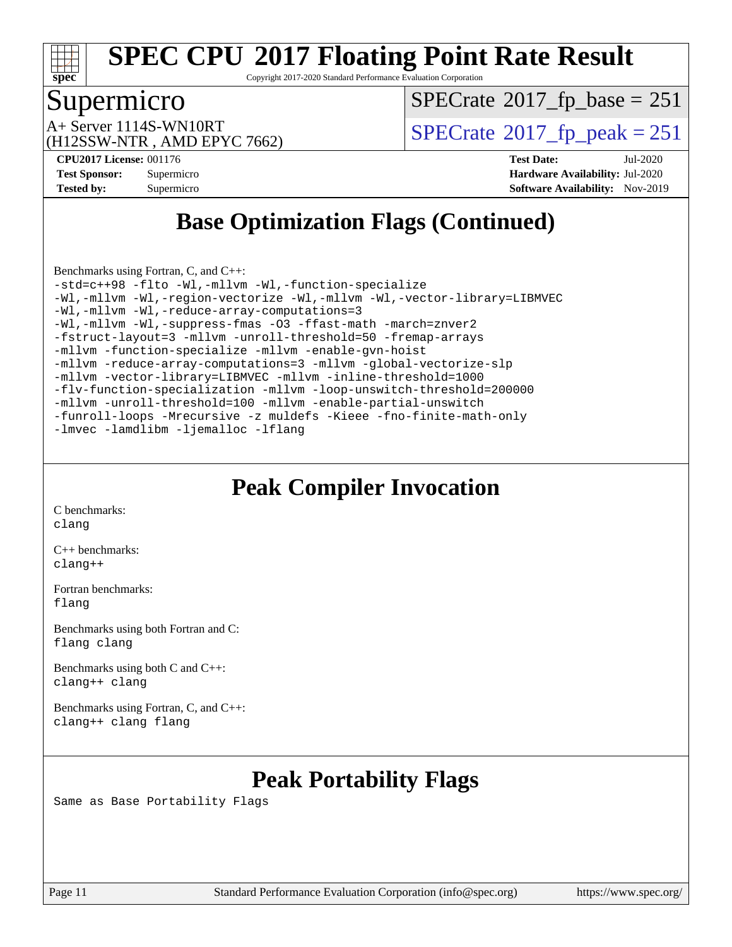

Copyright 2017-2020 Standard Performance Evaluation Corporation

### Supermicro

 $SPECTate@2017_fp\_base = 251$ 

(H12SSW-NTR , AMD EPYC 7662)

 $A+$  Server 1114S-WN10RT  $\begin{array}{c} \text{SPECrate} \text{\textdegree}2017\_fp\_peak = 251 \end{array}$  $\begin{array}{c} \text{SPECrate} \text{\textdegree}2017\_fp\_peak = 251 \end{array}$  $\begin{array}{c} \text{SPECrate} \text{\textdegree}2017\_fp\_peak = 251 \end{array}$ 

**[CPU2017 License:](http://www.spec.org/auto/cpu2017/Docs/result-fields.html#CPU2017License)** 001176 **[Test Date:](http://www.spec.org/auto/cpu2017/Docs/result-fields.html#TestDate)** Jul-2020 **[Test Sponsor:](http://www.spec.org/auto/cpu2017/Docs/result-fields.html#TestSponsor)** Supermicro **[Hardware Availability:](http://www.spec.org/auto/cpu2017/Docs/result-fields.html#HardwareAvailability)** Jul-2020 **[Tested by:](http://www.spec.org/auto/cpu2017/Docs/result-fields.html#Testedby)** Supermicro **[Software Availability:](http://www.spec.org/auto/cpu2017/Docs/result-fields.html#SoftwareAvailability)** Nov-2019

# **[Base Optimization Flags \(Continued\)](http://www.spec.org/auto/cpu2017/Docs/result-fields.html#BaseOptimizationFlags)**

[Benchmarks using Fortran, C, and C++:](http://www.spec.org/auto/cpu2017/Docs/result-fields.html#BenchmarksusingFortranCandCXX) [-std=c++98](http://www.spec.org/cpu2017/results/res2020q3/cpu2017-20200818-23743.flags.html#user_CC_CXX_FCbase_std-cpp) [-flto](http://www.spec.org/cpu2017/results/res2020q3/cpu2017-20200818-23743.flags.html#user_CC_CXX_FCbase_aocc-flto) [-Wl,-mllvm -Wl,-function-specialize](http://www.spec.org/cpu2017/results/res2020q3/cpu2017-20200818-23743.flags.html#user_CC_CXX_FCbase_F-function-specialize_7e7e661e57922243ee67c9a1251cb8910e607325179a0ce7f2884e09a6f5d4a5ef0ae4f37e8a2a11c95fc48e931f06dc2b6016f14b511fcb441e048bef1b065a) [-Wl,-mllvm -Wl,-region-vectorize](http://www.spec.org/cpu2017/results/res2020q3/cpu2017-20200818-23743.flags.html#user_CC_CXX_FCbase_F-region-vectorize_fb6c6b5aa293c88efc6c7c2b52b20755e943585b1fe8658c35afef78727fff56e1a56891413c30e36b8e2a6f9a71126986319243e80eb6110b78b288f533c52b) [-Wl,-mllvm -Wl,-vector-library=LIBMVEC](http://www.spec.org/cpu2017/results/res2020q3/cpu2017-20200818-23743.flags.html#user_CC_CXX_FCbase_F-use-vector-library_0a14b27fae317f283640384a31f7bfcc2bd4c1d0b5cfc618a3a430800c9b20217b00f61303eff223a3251b4f06ffbc9739dc5296db9d1fbb9ad24a3939d86d66) [-Wl,-mllvm -Wl,-reduce-array-computations=3](http://www.spec.org/cpu2017/results/res2020q3/cpu2017-20200818-23743.flags.html#user_CC_CXX_FCbase_F-reduce-array-computations_b882aefe7a5dda4e33149f6299762b9a720dace3e498e13756f4c04e5a19edf5315c1f3993de2e61ec41e8c206231f84e05da7040e1bb5d69ba27d10a12507e4) [-Wl,-mllvm -Wl,-suppress-fmas](http://www.spec.org/cpu2017/results/res2020q3/cpu2017-20200818-23743.flags.html#user_CC_CXX_FCbase_F-suppress-fmas_f00f00630e4a059e8af9c161e9bbf420bcf19890a7f99d5933525e66aa4b0bb3ab2339d2b12d97d3a5f5d271e839fe9c109938e91fe06230fb53651590cfa1e8) [-O3](http://www.spec.org/cpu2017/results/res2020q3/cpu2017-20200818-23743.flags.html#user_CC_CXX_FCbase_F-O3) [-ffast-math](http://www.spec.org/cpu2017/results/res2020q3/cpu2017-20200818-23743.flags.html#user_CC_CXX_FCbase_aocc-ffast-math) [-march=znver2](http://www.spec.org/cpu2017/results/res2020q3/cpu2017-20200818-23743.flags.html#user_CC_CXX_FCbase_aocc-march_3e2e19cff2eeef60c5d90b059483627c9ea47eca6d66670dbd53f9185f6439e27eb5e104cf773e9e8ab18c8842ce63e461a3e948d0214bd567ef3ade411bf467) [-fstruct-layout=3](http://www.spec.org/cpu2017/results/res2020q3/cpu2017-20200818-23743.flags.html#user_CC_CXX_FCbase_F-struct-layout) [-mllvm -unroll-threshold=50](http://www.spec.org/cpu2017/results/res2020q3/cpu2017-20200818-23743.flags.html#user_CC_CXX_FCbase_F-unroll-threshold_458874500b2c105d6d5cb4d7a611c40e2b16e9e3d26b355fea72d644c3673b4de4b3932662f0ed3dbec75c491a13da2d2ca81180bd779dc531083ef1e1e549dc) [-fremap-arrays](http://www.spec.org/cpu2017/results/res2020q3/cpu2017-20200818-23743.flags.html#user_CC_CXX_FCbase_F-fremap-arrays) [-mllvm -function-specialize](http://www.spec.org/cpu2017/results/res2020q3/cpu2017-20200818-23743.flags.html#user_CC_CXX_FCbase_F-function-specialize_233b3bdba86027f1b094368157e481c5bc59f40286dc25bfadc1858dcd5745c24fd30d5f188710db7fea399bcc9f44a80b3ce3aacc70a8870250c3ae5e1f35b8) [-mllvm -enable-gvn-hoist](http://www.spec.org/cpu2017/results/res2020q3/cpu2017-20200818-23743.flags.html#user_CC_CXX_FCbase_F-enable-gvn-hoist_e5856354646dd6ca1333a0ad99b817e4cf8932b91b82809fd8fd47ceff7b22a89eba5c98fd3e3fa5200368fd772cec3dd56abc3c8f7b655a71b9f9848dddedd5) [-mllvm -reduce-array-computations=3](http://www.spec.org/cpu2017/results/res2020q3/cpu2017-20200818-23743.flags.html#user_CC_CXX_FCbase_F-reduce-array-computations_aceadb8604558b566e0e3a0d7a3c1533923dd1fa0889614e16288028922629a28d5695c24d3b3be4306b1e311c54317dfffe3a2e57fbcaabc737a1798de39145) [-mllvm -global-vectorize-slp](http://www.spec.org/cpu2017/results/res2020q3/cpu2017-20200818-23743.flags.html#user_CC_CXX_FCbase_F-global-vectorize-slp_a3935e8627af4ced727033b1ffd4db27f4d541a363d28d82bf4c2925fb3a0fd4115d6e42d13a2829f9e024d6608eb67a85cb49770f2da5c5ac8dbc737afad603) [-mllvm -vector-library=LIBMVEC](http://www.spec.org/cpu2017/results/res2020q3/cpu2017-20200818-23743.flags.html#user_CC_CXX_FCbase_F-use-vector-library_e584e20b4f7ec96aa109254b65d8e01d864f3d68580371b9d93ed7c338191d4cfce20c3c864632264effc6bbe4c7c38153d02096a342ee92501c4a53204a7871) [-mllvm -inline-threshold=1000](http://www.spec.org/cpu2017/results/res2020q3/cpu2017-20200818-23743.flags.html#user_CC_CXX_FCbase_dragonegg-llvm-inline-threshold_b7832241b0a6397e4ecdbaf0eb7defdc10f885c2a282fa3240fdc99844d543fda39cf8a4a9dccf68cf19b5438ac3b455264f478df15da0f4988afa40d8243bab) [-flv-function-specialization](http://www.spec.org/cpu2017/results/res2020q3/cpu2017-20200818-23743.flags.html#user_CC_CXX_FCbase_F-flv-function-specialization) [-mllvm -loop-unswitch-threshold=200000](http://www.spec.org/cpu2017/results/res2020q3/cpu2017-20200818-23743.flags.html#user_CC_CXX_FCbase_F-loop-unswitch-threshold_f9a82ae3270e55b5fbf79d0d96ee93606b73edbbe527d20b18b7bff1a3a146ad50cfc7454c5297978340ae9213029016a7d16221274d672d3f7f42ed25274e1d) [-mllvm -unroll-threshold=100](http://www.spec.org/cpu2017/results/res2020q3/cpu2017-20200818-23743.flags.html#user_CC_CXX_FCbase_F-unroll-threshold_2755d0c78138845d361fa1543e3a063fffa198df9b3edf0cfb856bbc88a81e1769b12ac7a550c5d35197be55360db1a3f95a8d1304df999456cabf5120c45168) [-mllvm -enable-partial-unswitch](http://www.spec.org/cpu2017/results/res2020q3/cpu2017-20200818-23743.flags.html#user_CC_CXX_FCbase_F-enable-partial-unswitch_6e1c33f981d77963b1eaf834973128a7f33ce3f8e27f54689656697a35e89dcc875281e0e6283d043e32f367dcb605ba0e307a92e830f7e326789fa6c61b35d3) [-funroll-loops](http://www.spec.org/cpu2017/results/res2020q3/cpu2017-20200818-23743.flags.html#user_CC_CXX_FCbase_aocc-unroll-loops) [-Mrecursive](http://www.spec.org/cpu2017/results/res2020q3/cpu2017-20200818-23743.flags.html#user_CC_CXX_FCbase_F-mrecursive_20a145d63f12d5750a899e17d4450b5b8b40330a9bb4af13688ca650e6fb30857bbbe44fb35cdbb895df6e5b2769de0a0d7659f51ff17acfbef6febafec4023f) [-z muldefs](http://www.spec.org/cpu2017/results/res2020q3/cpu2017-20200818-23743.flags.html#user_CC_CXX_FCbase_aocc-muldefs) [-Kieee](http://www.spec.org/cpu2017/results/res2020q3/cpu2017-20200818-23743.flags.html#user_CC_CXX_FCbase_F-kieee) [-fno-finite-math-only](http://www.spec.org/cpu2017/results/res2020q3/cpu2017-20200818-23743.flags.html#user_CC_CXX_FCbase_aocc-fno-finite-math-only) [-lmvec](http://www.spec.org/cpu2017/results/res2020q3/cpu2017-20200818-23743.flags.html#user_CC_CXX_FCbase_F-lmvec) [-lamdlibm](http://www.spec.org/cpu2017/results/res2020q3/cpu2017-20200818-23743.flags.html#user_CC_CXX_FCbase_F-lamdlibm) [-ljemalloc](http://www.spec.org/cpu2017/results/res2020q3/cpu2017-20200818-23743.flags.html#user_CC_CXX_FCbase_jemalloc-lib) [-lflang](http://www.spec.org/cpu2017/results/res2020q3/cpu2017-20200818-23743.flags.html#user_CC_CXX_FCbase_F-lflang)

### **[Peak Compiler Invocation](http://www.spec.org/auto/cpu2017/Docs/result-fields.html#PeakCompilerInvocation)**

[C benchmarks](http://www.spec.org/auto/cpu2017/Docs/result-fields.html#Cbenchmarks): [clang](http://www.spec.org/cpu2017/results/res2020q3/cpu2017-20200818-23743.flags.html#user_CCpeak_clang-c)

[C++ benchmarks:](http://www.spec.org/auto/cpu2017/Docs/result-fields.html#CXXbenchmarks) [clang++](http://www.spec.org/cpu2017/results/res2020q3/cpu2017-20200818-23743.flags.html#user_CXXpeak_clang-cpp)

[Fortran benchmarks](http://www.spec.org/auto/cpu2017/Docs/result-fields.html#Fortranbenchmarks): [flang](http://www.spec.org/cpu2017/results/res2020q3/cpu2017-20200818-23743.flags.html#user_FCpeak_flang)

[Benchmarks using both Fortran and C](http://www.spec.org/auto/cpu2017/Docs/result-fields.html#BenchmarksusingbothFortranandC): [flang](http://www.spec.org/cpu2017/results/res2020q3/cpu2017-20200818-23743.flags.html#user_CC_FCpeak_flang) [clang](http://www.spec.org/cpu2017/results/res2020q3/cpu2017-20200818-23743.flags.html#user_CC_FCpeak_clang-c)

[Benchmarks using both C and C++](http://www.spec.org/auto/cpu2017/Docs/result-fields.html#BenchmarksusingbothCandCXX): [clang++](http://www.spec.org/cpu2017/results/res2020q3/cpu2017-20200818-23743.flags.html#user_CC_CXXpeak_clang-cpp) [clang](http://www.spec.org/cpu2017/results/res2020q3/cpu2017-20200818-23743.flags.html#user_CC_CXXpeak_clang-c)

[Benchmarks using Fortran, C, and C++:](http://www.spec.org/auto/cpu2017/Docs/result-fields.html#BenchmarksusingFortranCandCXX) [clang++](http://www.spec.org/cpu2017/results/res2020q3/cpu2017-20200818-23743.flags.html#user_CC_CXX_FCpeak_clang-cpp) [clang](http://www.spec.org/cpu2017/results/res2020q3/cpu2017-20200818-23743.flags.html#user_CC_CXX_FCpeak_clang-c) [flang](http://www.spec.org/cpu2017/results/res2020q3/cpu2017-20200818-23743.flags.html#user_CC_CXX_FCpeak_flang)

# **[Peak Portability Flags](http://www.spec.org/auto/cpu2017/Docs/result-fields.html#PeakPortabilityFlags)**

Same as Base Portability Flags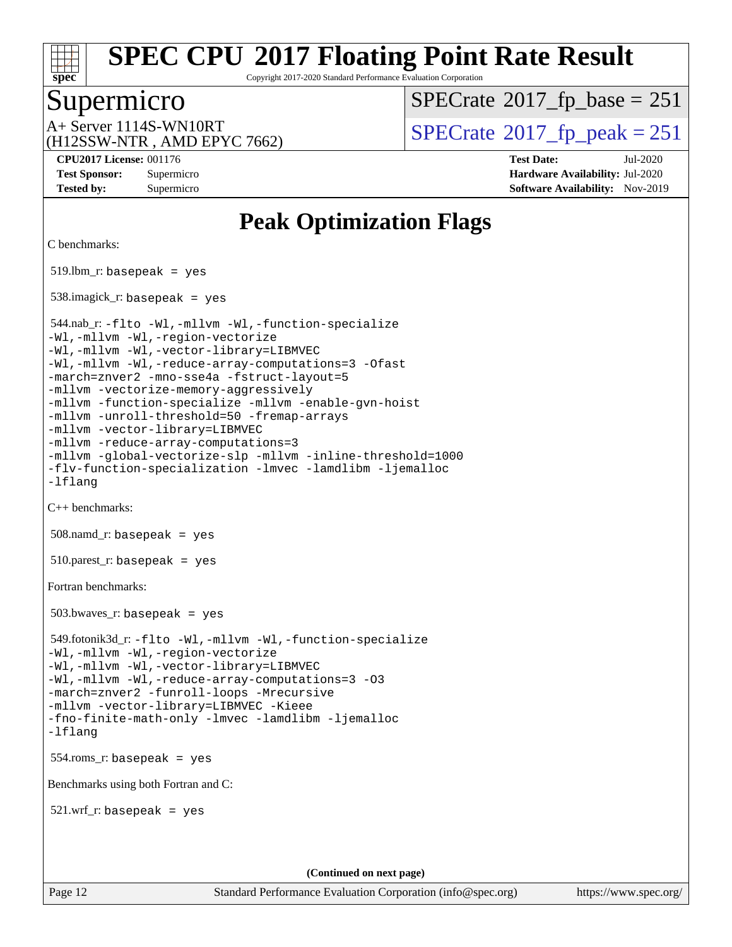

Copyright 2017-2020 Standard Performance Evaluation Corporation

### Supermicro

 $SPECTate@2017_fp\_base = 251$ 

(H12SSW-NTR , AMD EPYC 7662)

 $A+$  Server 1114S-WN10RT  $\begin{array}{c} \text{SPECrate} \text{\textdegree}2017\_fp\_peak = 251 \end{array}$  $\begin{array}{c} \text{SPECrate} \text{\textdegree}2017\_fp\_peak = 251 \end{array}$  $\begin{array}{c} \text{SPECrate} \text{\textdegree}2017\_fp\_peak = 251 \end{array}$ 

**[CPU2017 License:](http://www.spec.org/auto/cpu2017/Docs/result-fields.html#CPU2017License)** 001176 **[Test Date:](http://www.spec.org/auto/cpu2017/Docs/result-fields.html#TestDate)** Jul-2020 **[Test Sponsor:](http://www.spec.org/auto/cpu2017/Docs/result-fields.html#TestSponsor)** Supermicro **[Hardware Availability:](http://www.spec.org/auto/cpu2017/Docs/result-fields.html#HardwareAvailability)** Jul-2020 **[Tested by:](http://www.spec.org/auto/cpu2017/Docs/result-fields.html#Testedby)** Supermicro **[Software Availability:](http://www.spec.org/auto/cpu2017/Docs/result-fields.html#SoftwareAvailability)** Nov-2019

# **[Peak Optimization Flags](http://www.spec.org/auto/cpu2017/Docs/result-fields.html#PeakOptimizationFlags)**

[C benchmarks](http://www.spec.org/auto/cpu2017/Docs/result-fields.html#Cbenchmarks):

519.lbm\_r: basepeak = yes

538.imagick\_r: basepeak = yes

 544.nab\_r: [-flto](http://www.spec.org/cpu2017/results/res2020q3/cpu2017-20200818-23743.flags.html#user_peakCOPTIMIZELDFLAGS544_nab_r_aocc-flto) [-Wl,-mllvm -Wl,-function-specialize](http://www.spec.org/cpu2017/results/res2020q3/cpu2017-20200818-23743.flags.html#user_peakLDFLAGS544_nab_r_F-function-specialize_7e7e661e57922243ee67c9a1251cb8910e607325179a0ce7f2884e09a6f5d4a5ef0ae4f37e8a2a11c95fc48e931f06dc2b6016f14b511fcb441e048bef1b065a) [-Wl,-mllvm -Wl,-region-vectorize](http://www.spec.org/cpu2017/results/res2020q3/cpu2017-20200818-23743.flags.html#user_peakLDFLAGS544_nab_r_F-region-vectorize_fb6c6b5aa293c88efc6c7c2b52b20755e943585b1fe8658c35afef78727fff56e1a56891413c30e36b8e2a6f9a71126986319243e80eb6110b78b288f533c52b) [-Wl,-mllvm -Wl,-vector-library=LIBMVEC](http://www.spec.org/cpu2017/results/res2020q3/cpu2017-20200818-23743.flags.html#user_peakLDFLAGS544_nab_r_F-use-vector-library_0a14b27fae317f283640384a31f7bfcc2bd4c1d0b5cfc618a3a430800c9b20217b00f61303eff223a3251b4f06ffbc9739dc5296db9d1fbb9ad24a3939d86d66) [-Wl,-mllvm -Wl,-reduce-array-computations=3](http://www.spec.org/cpu2017/results/res2020q3/cpu2017-20200818-23743.flags.html#user_peakLDFLAGS544_nab_r_F-reduce-array-computations_b882aefe7a5dda4e33149f6299762b9a720dace3e498e13756f4c04e5a19edf5315c1f3993de2e61ec41e8c206231f84e05da7040e1bb5d69ba27d10a12507e4) [-Ofast](http://www.spec.org/cpu2017/results/res2020q3/cpu2017-20200818-23743.flags.html#user_peakCOPTIMIZE544_nab_r_aocc-Ofast) [-march=znver2](http://www.spec.org/cpu2017/results/res2020q3/cpu2017-20200818-23743.flags.html#user_peakCOPTIMIZE544_nab_r_aocc-march_3e2e19cff2eeef60c5d90b059483627c9ea47eca6d66670dbd53f9185f6439e27eb5e104cf773e9e8ab18c8842ce63e461a3e948d0214bd567ef3ade411bf467) [-mno-sse4a](http://www.spec.org/cpu2017/results/res2020q3/cpu2017-20200818-23743.flags.html#user_peakCOPTIMIZE544_nab_r_F-mno-sse4a) [-fstruct-layout=5](http://www.spec.org/cpu2017/results/res2020q3/cpu2017-20200818-23743.flags.html#user_peakCOPTIMIZE544_nab_r_F-struct-layout_0de9d3561e9f54a54e0843cce081bd13a08ab3e9a82696f3346606c2e11360c37113781019b02fa128d9f650e68f1ffd209bab5c3a026c1ad23e4e7f60646b23) [-mllvm -vectorize-memory-aggressively](http://www.spec.org/cpu2017/results/res2020q3/cpu2017-20200818-23743.flags.html#user_peakCOPTIMIZE544_nab_r_F-vectorize-memory-aggressively_24b72a4417f50ade9e698c5b3bed87ab456cc6fc8ec6439480cb84f36ad6a3975af6e87206dea402e3871a1464ff3d60bc798e0250f330177ba629a260df1857) [-mllvm -function-specialize](http://www.spec.org/cpu2017/results/res2020q3/cpu2017-20200818-23743.flags.html#user_peakCOPTIMIZE544_nab_r_F-function-specialize_233b3bdba86027f1b094368157e481c5bc59f40286dc25bfadc1858dcd5745c24fd30d5f188710db7fea399bcc9f44a80b3ce3aacc70a8870250c3ae5e1f35b8) [-mllvm -enable-gvn-hoist](http://www.spec.org/cpu2017/results/res2020q3/cpu2017-20200818-23743.flags.html#user_peakCOPTIMIZE544_nab_r_F-enable-gvn-hoist_e5856354646dd6ca1333a0ad99b817e4cf8932b91b82809fd8fd47ceff7b22a89eba5c98fd3e3fa5200368fd772cec3dd56abc3c8f7b655a71b9f9848dddedd5) [-mllvm -unroll-threshold=50](http://www.spec.org/cpu2017/results/res2020q3/cpu2017-20200818-23743.flags.html#user_peakCOPTIMIZE544_nab_r_F-unroll-threshold_458874500b2c105d6d5cb4d7a611c40e2b16e9e3d26b355fea72d644c3673b4de4b3932662f0ed3dbec75c491a13da2d2ca81180bd779dc531083ef1e1e549dc) [-fremap-arrays](http://www.spec.org/cpu2017/results/res2020q3/cpu2017-20200818-23743.flags.html#user_peakCOPTIMIZE544_nab_r_F-fremap-arrays) [-mllvm -vector-library=LIBMVEC](http://www.spec.org/cpu2017/results/res2020q3/cpu2017-20200818-23743.flags.html#user_peakCOPTIMIZE544_nab_r_F-use-vector-library_e584e20b4f7ec96aa109254b65d8e01d864f3d68580371b9d93ed7c338191d4cfce20c3c864632264effc6bbe4c7c38153d02096a342ee92501c4a53204a7871) [-mllvm -reduce-array-computations=3](http://www.spec.org/cpu2017/results/res2020q3/cpu2017-20200818-23743.flags.html#user_peakCOPTIMIZE544_nab_r_F-reduce-array-computations_aceadb8604558b566e0e3a0d7a3c1533923dd1fa0889614e16288028922629a28d5695c24d3b3be4306b1e311c54317dfffe3a2e57fbcaabc737a1798de39145) [-mllvm -global-vectorize-slp](http://www.spec.org/cpu2017/results/res2020q3/cpu2017-20200818-23743.flags.html#user_peakCOPTIMIZE544_nab_r_F-global-vectorize-slp_a3935e8627af4ced727033b1ffd4db27f4d541a363d28d82bf4c2925fb3a0fd4115d6e42d13a2829f9e024d6608eb67a85cb49770f2da5c5ac8dbc737afad603) [-mllvm -inline-threshold=1000](http://www.spec.org/cpu2017/results/res2020q3/cpu2017-20200818-23743.flags.html#user_peakCOPTIMIZE544_nab_r_dragonegg-llvm-inline-threshold_b7832241b0a6397e4ecdbaf0eb7defdc10f885c2a282fa3240fdc99844d543fda39cf8a4a9dccf68cf19b5438ac3b455264f478df15da0f4988afa40d8243bab) [-flv-function-specialization](http://www.spec.org/cpu2017/results/res2020q3/cpu2017-20200818-23743.flags.html#user_peakCOPTIMIZE544_nab_r_F-flv-function-specialization) [-lmvec](http://www.spec.org/cpu2017/results/res2020q3/cpu2017-20200818-23743.flags.html#user_peakEXTRA_LIBSMATH_LIBS544_nab_r_F-lmvec) [-lamdlibm](http://www.spec.org/cpu2017/results/res2020q3/cpu2017-20200818-23743.flags.html#user_peakEXTRA_LIBSMATH_LIBS544_nab_r_F-lamdlibm) [-ljemalloc](http://www.spec.org/cpu2017/results/res2020q3/cpu2017-20200818-23743.flags.html#user_peakEXTRA_LIBS544_nab_r_jemalloc-lib) [-lflang](http://www.spec.org/cpu2017/results/res2020q3/cpu2017-20200818-23743.flags.html#user_peakEXTRA_LIBS544_nab_r_F-lflang) [C++ benchmarks:](http://www.spec.org/auto/cpu2017/Docs/result-fields.html#CXXbenchmarks) 508.namd\_r: basepeak = yes  $510.parest_r:$  basepeak = yes [Fortran benchmarks](http://www.spec.org/auto/cpu2017/Docs/result-fields.html#Fortranbenchmarks): 503.bwaves\_r: basepeak = yes 549.fotonik3d\_r: [-flto](http://www.spec.org/cpu2017/results/res2020q3/cpu2017-20200818-23743.flags.html#user_peakFOPTIMIZELDFLAGS549_fotonik3d_r_aocc-flto) [-Wl,-mllvm -Wl,-function-specialize](http://www.spec.org/cpu2017/results/res2020q3/cpu2017-20200818-23743.flags.html#user_peakLDFLAGS549_fotonik3d_r_F-function-specialize_7e7e661e57922243ee67c9a1251cb8910e607325179a0ce7f2884e09a6f5d4a5ef0ae4f37e8a2a11c95fc48e931f06dc2b6016f14b511fcb441e048bef1b065a) [-Wl,-mllvm -Wl,-region-vectorize](http://www.spec.org/cpu2017/results/res2020q3/cpu2017-20200818-23743.flags.html#user_peakLDFLAGS549_fotonik3d_r_F-region-vectorize_fb6c6b5aa293c88efc6c7c2b52b20755e943585b1fe8658c35afef78727fff56e1a56891413c30e36b8e2a6f9a71126986319243e80eb6110b78b288f533c52b) [-Wl,-mllvm -Wl,-vector-library=LIBMVEC](http://www.spec.org/cpu2017/results/res2020q3/cpu2017-20200818-23743.flags.html#user_peakLDFLAGS549_fotonik3d_r_F-use-vector-library_0a14b27fae317f283640384a31f7bfcc2bd4c1d0b5cfc618a3a430800c9b20217b00f61303eff223a3251b4f06ffbc9739dc5296db9d1fbb9ad24a3939d86d66) [-Wl,-mllvm -Wl,-reduce-array-computations=3](http://www.spec.org/cpu2017/results/res2020q3/cpu2017-20200818-23743.flags.html#user_peakLDFLAGS549_fotonik3d_r_F-reduce-array-computations_b882aefe7a5dda4e33149f6299762b9a720dace3e498e13756f4c04e5a19edf5315c1f3993de2e61ec41e8c206231f84e05da7040e1bb5d69ba27d10a12507e4) [-O3](http://www.spec.org/cpu2017/results/res2020q3/cpu2017-20200818-23743.flags.html#user_peakFOPTIMIZE549_fotonik3d_r_F-O3) [-march=znver2](http://www.spec.org/cpu2017/results/res2020q3/cpu2017-20200818-23743.flags.html#user_peakFOPTIMIZE549_fotonik3d_r_aocc-march_3e2e19cff2eeef60c5d90b059483627c9ea47eca6d66670dbd53f9185f6439e27eb5e104cf773e9e8ab18c8842ce63e461a3e948d0214bd567ef3ade411bf467) [-funroll-loops](http://www.spec.org/cpu2017/results/res2020q3/cpu2017-20200818-23743.flags.html#user_peakFOPTIMIZE549_fotonik3d_r_aocc-unroll-loops) [-Mrecursive](http://www.spec.org/cpu2017/results/res2020q3/cpu2017-20200818-23743.flags.html#user_peakFOPTIMIZE549_fotonik3d_r_F-mrecursive_20a145d63f12d5750a899e17d4450b5b8b40330a9bb4af13688ca650e6fb30857bbbe44fb35cdbb895df6e5b2769de0a0d7659f51ff17acfbef6febafec4023f) [-mllvm -vector-library=LIBMVEC](http://www.spec.org/cpu2017/results/res2020q3/cpu2017-20200818-23743.flags.html#user_peakFOPTIMIZE549_fotonik3d_r_F-use-vector-library_e584e20b4f7ec96aa109254b65d8e01d864f3d68580371b9d93ed7c338191d4cfce20c3c864632264effc6bbe4c7c38153d02096a342ee92501c4a53204a7871) [-Kieee](http://www.spec.org/cpu2017/results/res2020q3/cpu2017-20200818-23743.flags.html#user_peakEXTRA_FFLAGS549_fotonik3d_r_F-kieee) [-fno-finite-math-only](http://www.spec.org/cpu2017/results/res2020q3/cpu2017-20200818-23743.flags.html#user_peakEXTRA_FFLAGS549_fotonik3d_r_aocc-fno-finite-math-only) [-lmvec](http://www.spec.org/cpu2017/results/res2020q3/cpu2017-20200818-23743.flags.html#user_peakEXTRA_FLIBSEXTRA_LIBS549_fotonik3d_r_F-lmvec) [-lamdlibm](http://www.spec.org/cpu2017/results/res2020q3/cpu2017-20200818-23743.flags.html#user_peakEXTRA_FLIBSEXTRA_LIBS549_fotonik3d_r_F-lamdlibm) [-ljemalloc](http://www.spec.org/cpu2017/results/res2020q3/cpu2017-20200818-23743.flags.html#user_peakEXTRA_LIBS549_fotonik3d_r_jemalloc-lib) [-lflang](http://www.spec.org/cpu2017/results/res2020q3/cpu2017-20200818-23743.flags.html#user_peakEXTRA_LIBS549_fotonik3d_r_F-lflang)

554.roms\_r: basepeak = yes

[Benchmarks using both Fortran and C](http://www.spec.org/auto/cpu2017/Docs/result-fields.html#BenchmarksusingbothFortranandC):

521.wrf\_r: basepeak = yes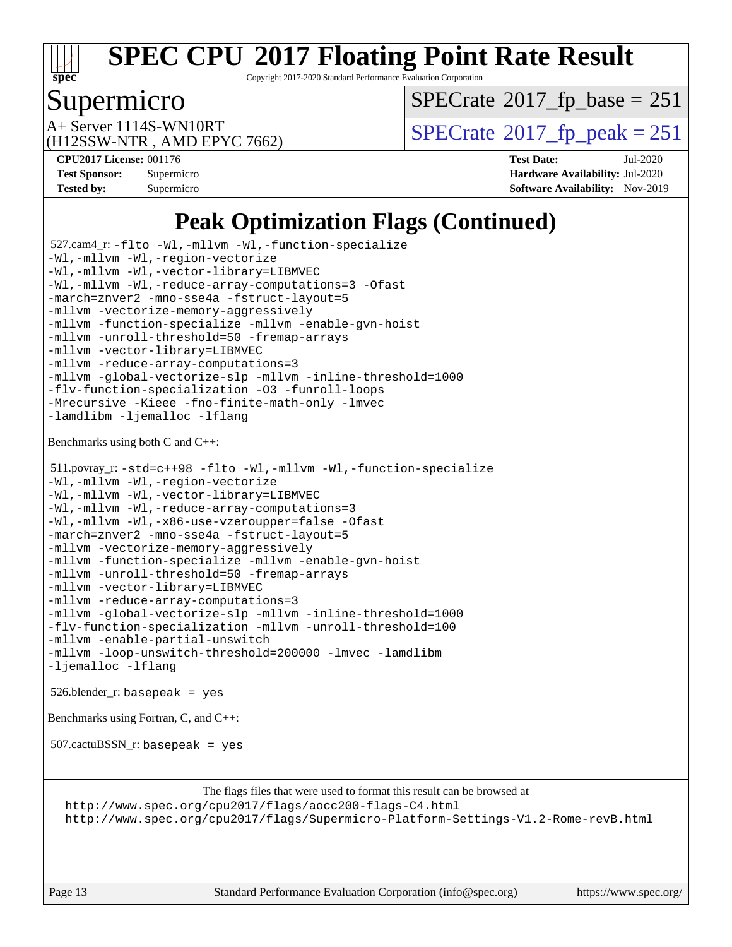

Copyright 2017-2020 Standard Performance Evaluation Corporation

## Supermicro

 $SPECTate@2017_fp\_base = 251$ 

(H12SSW-NTR , AMD EPYC 7662)

 $A+$  Server 1114S-WN10RT  $\begin{array}{c} \text{SPECrate} \text{\textdegree}2017\_fp\_peak = 251 \end{array}$  $\begin{array}{c} \text{SPECrate} \text{\textdegree}2017\_fp\_peak = 251 \end{array}$  $\begin{array}{c} \text{SPECrate} \text{\textdegree}2017\_fp\_peak = 251 \end{array}$ 

**[CPU2017 License:](http://www.spec.org/auto/cpu2017/Docs/result-fields.html#CPU2017License)** 001176 **[Test Date:](http://www.spec.org/auto/cpu2017/Docs/result-fields.html#TestDate)** Jul-2020 **[Test Sponsor:](http://www.spec.org/auto/cpu2017/Docs/result-fields.html#TestSponsor)** Supermicro **[Hardware Availability:](http://www.spec.org/auto/cpu2017/Docs/result-fields.html#HardwareAvailability)** Jul-2020 **[Tested by:](http://www.spec.org/auto/cpu2017/Docs/result-fields.html#Testedby)** Supermicro **[Software Availability:](http://www.spec.org/auto/cpu2017/Docs/result-fields.html#SoftwareAvailability)** Nov-2019

# **[Peak Optimization Flags \(Continued\)](http://www.spec.org/auto/cpu2017/Docs/result-fields.html#PeakOptimizationFlags)**

```
 527.cam4_r: -flto -Wl,-mllvm -Wl,-function-specialize
-Wl,-mllvm -Wl,-region-vectorize
-Wl,-mllvm -Wl,-vector-library=LIBMVEC
-Wl,-mllvm -Wl,-reduce-array-computations=3 -Ofast
-march=znver2 -mno-sse4a -fstruct-layout=5
-mllvm -vectorize-memory-aggressively
-mllvm -function-specialize -mllvm -enable-gvn-hoist
-mllvm -unroll-threshold=50 -fremap-arrays
-mllvm -vector-library=LIBMVEC
-mllvm -reduce-array-computations=3
-mllvm -global-vectorize-slp -mllvm -inline-threshold=1000
-flv-function-specialization -O3 -funroll-loops
-Mrecursive -Kieee -fno-finite-math-only -lmvec
-lamdlibm -ljemalloc -lflang
Benchmarks using both C and C++: 
 511.povray_r: -std=c++98 -flto -Wl,-mllvm -Wl,-function-specialize
-Wl,-mllvm -Wl,-region-vectorize
-Wl,-mllvm -Wl,-vector-library=LIBMVEC
-Wl,-mllvm -Wl,-reduce-array-computations=3
-Wl,-mllvm -Wl,-x86-use-vzeroupper=false -Ofast
-march=znver2 -mno-sse4a -fstruct-layout=5
-mllvm -vectorize-memory-aggressively
-mllvm -function-specialize -mllvm -enable-gvn-hoist
-mllvm -unroll-threshold=50 -fremap-arrays
-mllvm -vector-library=LIBMVEC
-mllvm -reduce-array-computations=3
-mllvm -global-vectorize-slp -mllvm -inline-threshold=1000
-flv-function-specialization -mllvm -unroll-threshold=100
-mllvm -enable-partial-unswitch
-mllvm -loop-unswitch-threshold=200000 -lmvec -lamdlibm
-ljemalloc -lflang
 526.blender_r: basepeak = yes
Benchmarks using Fortran, C, and C++: 
507.cactuBSSN r: basepeak = yes
                      The flags files that were used to format this result can be browsed at
  http://www.spec.org/cpu2017/flags/aocc200-flags-C4.html
  http://www.spec.org/cpu2017/flags/Supermicro-Platform-Settings-V1.2-Rome-revB.html
```